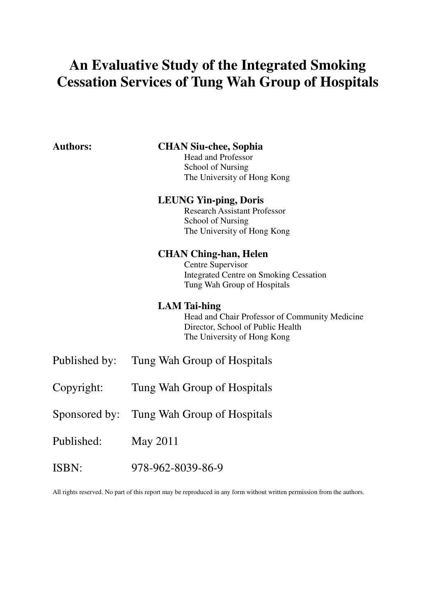# **An Evaluative Study of the Integrated Smoking Cessation Services of Tung Wah Group of Hospitals**

| <b>Authors:</b> | <b>CHAN Siu-chee, Sophia</b><br><b>Head and Professor</b><br><b>School of Nursing</b><br>The University of Hong Kong                      |
|-----------------|-------------------------------------------------------------------------------------------------------------------------------------------|
|                 | <b>LEUNG Yin-ping, Doris</b><br><b>Research Assistant Professor</b><br>School of Nursing<br>The University of Hong Kong                   |
|                 | <b>CHAN Ching-han, Helen</b><br>Centre Supervisor<br><b>Integrated Centre on Smoking Cessation</b><br>Tung Wah Group of Hospitals         |
|                 | <b>LAM Tai-hing</b><br>Head and Chair Professor of Community Medicine<br>Director, School of Public Health<br>The University of Hong Kong |
| Published by:   | Tung Wah Group of Hospitals                                                                                                               |
| Copyright:      | Tung Wah Group of Hospitals                                                                                                               |
|                 | Sponsored by: Tung Wah Group of Hospitals                                                                                                 |
| Published:      | <b>May 2011</b>                                                                                                                           |
| ISBN:           | 978-962-8039-86-9                                                                                                                         |

All rights reserved. No part of this report may be reproduced in any form without written permission from the authors.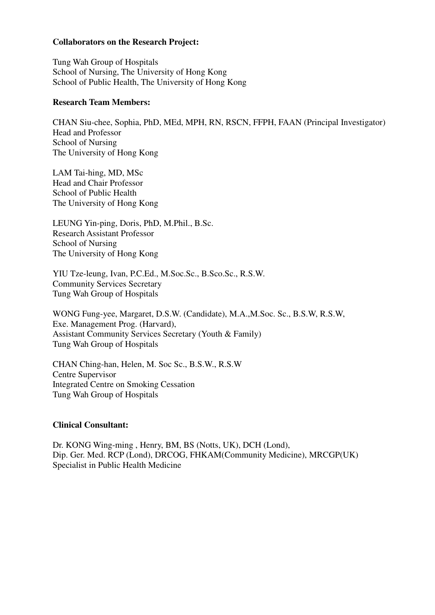#### **Collaborators on the Research Project:**

Tung Wah Group of Hospitals School of Nursing, The University of Hong Kong School of Public Health, The University of Hong Kong

#### **Research Team Members:**

CHAN Siu-chee, Sophia, PhD, MEd, MPH, RN, RSCN, FFPH, FAAN (Principal Investigator) Head and Professor School of Nursing The University of Hong Kong

LAM Tai-hing, MD, MSc Head and Chair Professor School of Public Health The University of Hong Kong

LEUNG Yin-ping, Doris, PhD, M.Phil., B.Sc. Research Assistant Professor School of Nursing The University of Hong Kong

YIU Tze-leung, Ivan, P.C.Ed., M.Soc.Sc., B.Sco.Sc., R.S.W. Community Services Secretary Tung Wah Group of Hospitals

WONG Fung-yee, Margaret, D.S.W. (Candidate), M.A.,M.Soc. Sc., B.S.W, R.S.W, Exe. Management Prog. (Harvard), Assistant Community Services Secretary (Youth & Family) Tung Wah Group of Hospitals

CHAN Ching-han, Helen, M. Soc Sc., B.S.W., R.S.W Centre Supervisor Integrated Centre on Smoking Cessation Tung Wah Group of Hospitals

#### **Clinical Consultant:**

Dr. KONG Wing-ming , Henry, BM, BS (Notts, UK), DCH (Lond), Dip. Ger. Med. RCP (Lond), DRCOG, FHKAM(Community Medicine), MRCGP(UK) Specialist in Public Health Medicine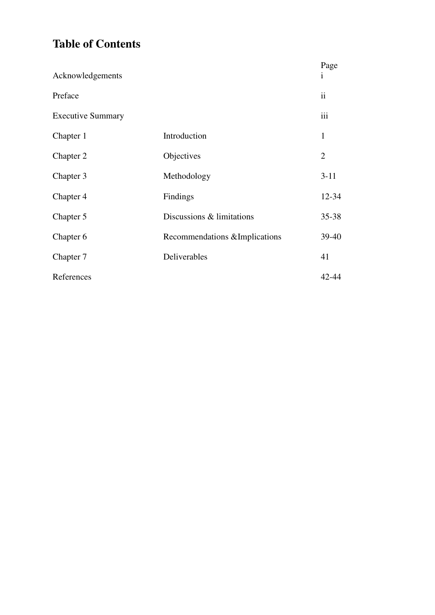# **Table of Contents**

| Acknowledgements         |                                | Page<br>$\mathbf{i}$ |
|--------------------------|--------------------------------|----------------------|
| Preface                  |                                | $\ddot{\rm{11}}$     |
| <b>Executive Summary</b> |                                | iii                  |
| Chapter 1                | Introduction                   | 1                    |
| Chapter 2                | Objectives                     | $\overline{2}$       |
| Chapter 3                | Methodology                    | $3-11$               |
| Chapter 4                | Findings                       | 12-34                |
| Chapter 5                | Discussions & limitations      | 35-38                |
| Chapter 6                | Recommendations & Implications | 39-40                |
| Chapter 7                | Deliverables                   | 41                   |
| References               |                                | 42-44                |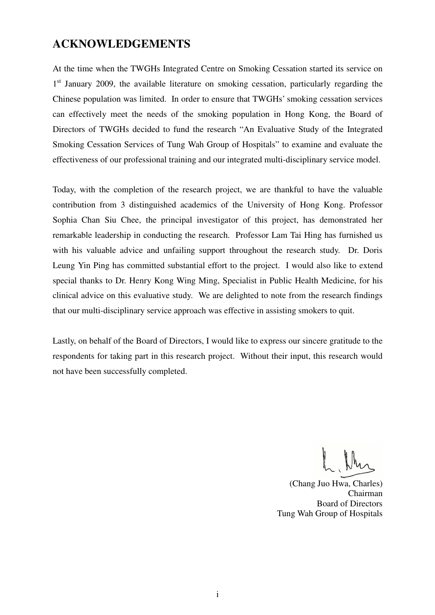## **ACKNOWLEDGEMENTS**

At the time when the TWGHs Integrated Centre on Smoking Cessation started its service on 1<sup>st</sup> January 2009, the available literature on smoking cessation, particularly regarding the Chinese population was limited. In order to ensure that TWGHs' smoking cessation services can effectively meet the needs of the smoking population in Hong Kong, the Board of Directors of TWGHs decided to fund the research "An Evaluative Study of the Integrated Smoking Cessation Services of Tung Wah Group of Hospitals" to examine and evaluate the effectiveness of our professional training and our integrated multi-disciplinary service model.

Today, with the completion of the research project, we are thankful to have the valuable contribution from 3 distinguished academics of the University of Hong Kong. Professor Sophia Chan Siu Chee, the principal investigator of this project, has demonstrated her remarkable leadership in conducting the research. Professor Lam Tai Hing has furnished us with his valuable advice and unfailing support throughout the research study. Dr. Doris Leung Yin Ping has committed substantial effort to the project. I would also like to extend special thanks to Dr. Henry Kong Wing Ming, Specialist in Public Health Medicine, for his clinical advice on this evaluative study. We are delighted to note from the research findings that our multi-disciplinary service approach was effective in assisting smokers to quit.

Lastly, on behalf of the Board of Directors, I would like to express our sincere gratitude to the respondents for taking part in this research project. Without their input, this research would not have been successfully completed.

(Chang Juo Hwa, Charles) Chairman Board of Directors Tung Wah Group of Hospitals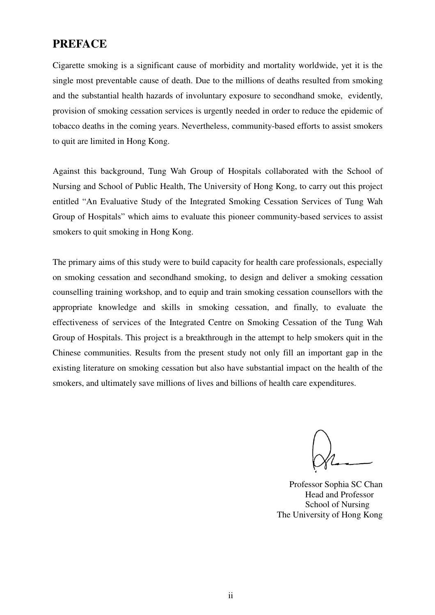## **PREFACE**

Cigarette smoking is a significant cause of morbidity and mortality worldwide, yet it is the single most preventable cause of death. Due to the millions of deaths resulted from smoking and the substantial health hazards of involuntary exposure to secondhand smoke, evidently, provision of smoking cessation services is urgently needed in order to reduce the epidemic of tobacco deaths in the coming years. Nevertheless, community-based efforts to assist smokers to quit are limited in Hong Kong.

Against this background, Tung Wah Group of Hospitals collaborated with the School of Nursing and School of Public Health, The University of Hong Kong, to carry out this project entitled "An Evaluative Study of the Integrated Smoking Cessation Services of Tung Wah Group of Hospitals" which aims to evaluate this pioneer community-based services to assist smokers to quit smoking in Hong Kong.

The primary aims of this study were to build capacity for health care professionals, especially on smoking cessation and secondhand smoking, to design and deliver a smoking cessation counselling training workshop, and to equip and train smoking cessation counsellors with the appropriate knowledge and skills in smoking cessation, and finally, to evaluate the effectiveness of services of the Integrated Centre on Smoking Cessation of the Tung Wah Group of Hospitals. This project is a breakthrough in the attempt to help smokers quit in the Chinese communities. Results from the present study not only fill an important gap in the existing literature on smoking cessation but also have substantial impact on the health of the smokers, and ultimately save millions of lives and billions of health care expenditures.

Professor Sophia SC Chan Head and Professor School of Nursing The University of Hong Kong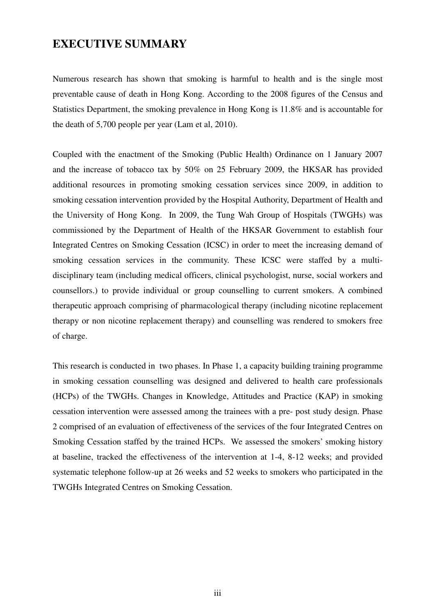# **EXECUTIVE SUMMARY**

Numerous research has shown that smoking is harmful to health and is the single most preventable cause of death in Hong Kong. According to the 2008 figures of the Census and Statistics Department, the smoking prevalence in Hong Kong is 11.8% and is accountable for the death of 5,700 people per year (Lam et al, 2010).

Coupled with the enactment of the Smoking (Public Health) Ordinance on 1 January 2007 and the increase of tobacco tax by 50% on 25 February 2009, the HKSAR has provided additional resources in promoting smoking cessation services since 2009, in addition to smoking cessation intervention provided by the Hospital Authority, Department of Health and the University of Hong Kong. In 2009, the Tung Wah Group of Hospitals (TWGHs) was commissioned by the Department of Health of the HKSAR Government to establish four Integrated Centres on Smoking Cessation (ICSC) in order to meet the increasing demand of smoking cessation services in the community. These ICSC were staffed by a multidisciplinary team (including medical officers, clinical psychologist, nurse, social workers and counsellors.) to provide individual or group counselling to current smokers. A combined therapeutic approach comprising of pharmacological therapy (including nicotine replacement therapy or non nicotine replacement therapy) and counselling was rendered to smokers free of charge.

This research is conducted in two phases. In Phase 1, a capacity building training programme in smoking cessation counselling was designed and delivered to health care professionals (HCPs) of the TWGHs. Changes in Knowledge, Attitudes and Practice (KAP) in smoking cessation intervention were assessed among the trainees with a pre- post study design. Phase 2 comprised of an evaluation of effectiveness of the services of the four Integrated Centres on Smoking Cessation staffed by the trained HCPs. We assessed the smokers' smoking history at baseline, tracked the effectiveness of the intervention at 1-4, 8-12 weeks; and provided systematic telephone follow-up at 26 weeks and 52 weeks to smokers who participated in the TWGHs Integrated Centres on Smoking Cessation.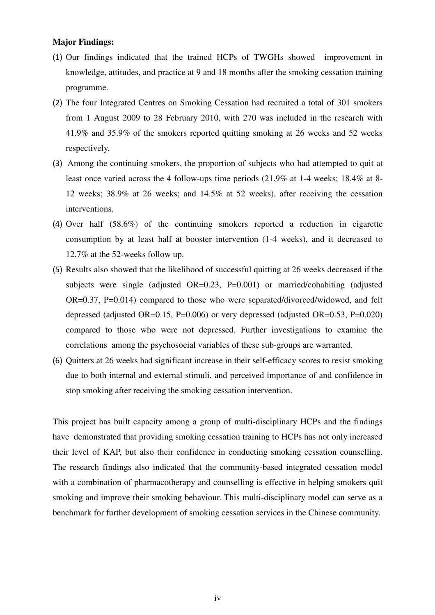#### **Major Findings:**

- (1) Our findings indicated that the trained HCPs of TWGHs showed improvement in knowledge, attitudes, and practice at 9 and 18 months after the smoking cessation training programme.
- (2) The four Integrated Centres on Smoking Cessation had recruited a total of 301 smokers from 1 August 2009 to 28 February 2010, with 270 was included in the research with 41.9% and 35.9% of the smokers reported quitting smoking at 26 weeks and 52 weeks respectively.
- (3) Among the continuing smokers, the proportion of subjects who had attempted to quit at least once varied across the 4 follow-ups time periods (21.9% at 1-4 weeks; 18.4% at 8- 12 weeks; 38.9% at 26 weeks; and 14.5% at 52 weeks), after receiving the cessation interventions.
- (4) Over half (58.6%) of the continuing smokers reported a reduction in cigarette consumption by at least half at booster intervention (1-4 weeks), and it decreased to 12.7% at the 52-weeks follow up.
- (5) Results also showed that the likelihood of successful quitting at 26 weeks decreased if the subjects were single (adjusted OR=0.23, P=0.001) or married/cohabiting (adjusted OR=0.37, P=0.014) compared to those who were separated/divorced/widowed, and felt depressed (adjusted OR=0.15, P=0.006) or very depressed (adjusted OR=0.53, P=0.020) compared to those who were not depressed. Further investigations to examine the correlations among the psychosocial variables of these sub-groups are warranted.
- (6) Quitters at 26 weeks had significant increase in their self-efficacy scores to resist smoking due to both internal and external stimuli, and perceived importance of and confidence in stop smoking after receiving the smoking cessation intervention.

This project has built capacity among a group of multi-disciplinary HCPs and the findings have demonstrated that providing smoking cessation training to HCPs has not only increased their level of KAP, but also their confidence in conducting smoking cessation counselling. The research findings also indicated that the community-based integrated cessation model with a combination of pharmacotherapy and counselling is effective in helping smokers quit smoking and improve their smoking behaviour. This multi-disciplinary model can serve as a benchmark for further development of smoking cessation services in the Chinese community.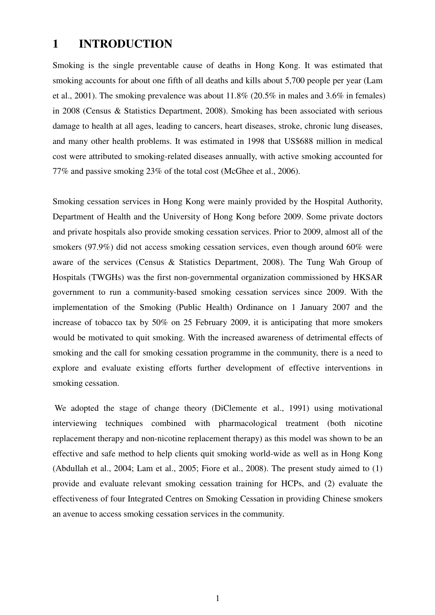### **1 INTRODUCTION**

Smoking is the single preventable cause of deaths in Hong Kong. It was estimated that smoking accounts for about one fifth of all deaths and kills about 5,700 people per year (Lam et al., 2001). The smoking prevalence was about 11.8% (20.5% in males and 3.6% in females) in 2008 (Census & Statistics Department, 2008). Smoking has been associated with serious damage to health at all ages, leading to cancers, heart diseases, stroke, chronic lung diseases, and many other health problems. It was estimated in 1998 that US\$688 million in medical cost were attributed to smoking-related diseases annually, with active smoking accounted for 77% and passive smoking 23% of the total cost (McGhee et al., 2006).

Smoking cessation services in Hong Kong were mainly provided by the Hospital Authority, Department of Health and the University of Hong Kong before 2009. Some private doctors and private hospitals also provide smoking cessation services. Prior to 2009, almost all of the smokers (97.9%) did not access smoking cessation services, even though around 60% were aware of the services (Census & Statistics Department, 2008). The Tung Wah Group of Hospitals (TWGHs) was the first non-governmental organization commissioned by HKSAR government to run a community-based smoking cessation services since 2009. With the implementation of the Smoking (Public Health) Ordinance on 1 January 2007 and the increase of tobacco tax by 50% on 25 February 2009, it is anticipating that more smokers would be motivated to quit smoking. With the increased awareness of detrimental effects of smoking and the call for smoking cessation programme in the community, there is a need to explore and evaluate existing efforts further development of effective interventions in smoking cessation.

 We adopted the stage of change theory (DiClemente et al., 1991) using motivational interviewing techniques combined with pharmacological treatment (both nicotine replacement therapy and non-nicotine replacement therapy) as this model was shown to be an effective and safe method to help clients quit smoking world-wide as well as in Hong Kong (Abdullah et al., 2004; Lam et al., 2005; Fiore et al., 2008). The present study aimed to (1) provide and evaluate relevant smoking cessation training for HCPs, and (2) evaluate the effectiveness of four Integrated Centres on Smoking Cessation in providing Chinese smokers an avenue to access smoking cessation services in the community.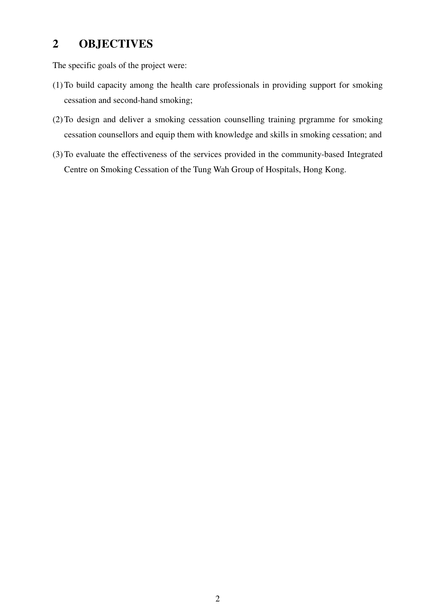# **2 OBJECTIVES**

The specific goals of the project were:

- (1)To build capacity among the health care professionals in providing support for smoking cessation and second-hand smoking;
- (2)To design and deliver a smoking cessation counselling training prgramme for smoking cessation counsellors and equip them with knowledge and skills in smoking cessation; and
- (3)To evaluate the effectiveness of the services provided in the community-based Integrated Centre on Smoking Cessation of the Tung Wah Group of Hospitals, Hong Kong.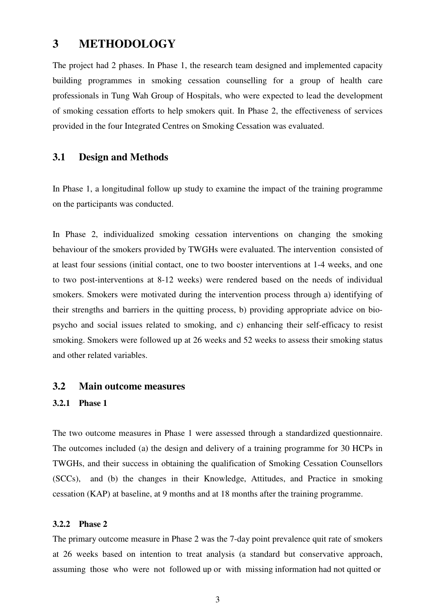## **3 METHODOLOGY**

The project had 2 phases. In Phase 1, the research team designed and implemented capacity building programmes in smoking cessation counselling for a group of health care professionals in Tung Wah Group of Hospitals, who were expected to lead the development of smoking cessation efforts to help smokers quit. In Phase 2, the effectiveness of services provided in the four Integrated Centres on Smoking Cessation was evaluated.

#### **3.1 Design and Methods**

In Phase 1, a longitudinal follow up study to examine the impact of the training programme on the participants was conducted.

In Phase 2, individualized smoking cessation interventions on changing the smoking behaviour of the smokers provided by TWGHs were evaluated. The intervention consisted of at least four sessions (initial contact, one to two booster interventions at 1-4 weeks, and one to two post-interventions at 8-12 weeks) were rendered based on the needs of individual smokers. Smokers were motivated during the intervention process through a) identifying of their strengths and barriers in the quitting process, b) providing appropriate advice on biopsycho and social issues related to smoking, and c) enhancing their self-efficacy to resist smoking. Smokers were followed up at 26 weeks and 52 weeks to assess their smoking status and other related variables.

#### **3.2 Main outcome measures**

#### **3.2.1 Phase 1**

The two outcome measures in Phase 1 were assessed through a standardized questionnaire. The outcomes included (a) the design and delivery of a training programme for 30 HCPs in TWGHs, and their success in obtaining the qualification of Smoking Cessation Counsellors (SCCs), and (b) the changes in their Knowledge, Attitudes, and Practice in smoking cessation (KAP) at baseline, at 9 months and at 18 months after the training programme.

#### **3.2.2 Phase 2**

The primary outcome measure in Phase 2 was the 7-day point prevalence quit rate of smokers at 26 weeks based on intention to treat analysis (a standard but conservative approach, assuming those who were not followed up or with missing information had not quitted or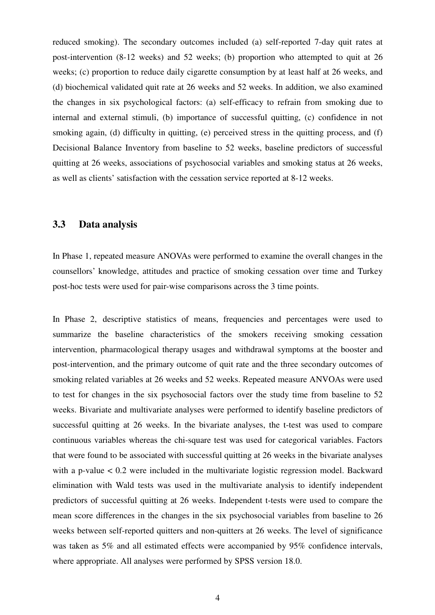reduced smoking). The secondary outcomes included (a) self-reported 7-day quit rates at post-intervention (8-12 weeks) and 52 weeks; (b) proportion who attempted to quit at 26 weeks; (c) proportion to reduce daily cigarette consumption by at least half at 26 weeks, and (d) biochemical validated quit rate at 26 weeks and 52 weeks. In addition, we also examined the changes in six psychological factors: (a) self-efficacy to refrain from smoking due to internal and external stimuli, (b) importance of successful quitting, (c) confidence in not smoking again, (d) difficulty in quitting, (e) perceived stress in the quitting process, and (f) Decisional Balance Inventory from baseline to 52 weeks, baseline predictors of successful quitting at 26 weeks, associations of psychosocial variables and smoking status at 26 weeks, as well as clients' satisfaction with the cessation service reported at 8-12 weeks.

#### **3.3 Data analysis**

In Phase 1, repeated measure ANOVAs were performed to examine the overall changes in the counsellors' knowledge, attitudes and practice of smoking cessation over time and Turkey post-hoc tests were used for pair-wise comparisons across the 3 time points.

In Phase 2, descriptive statistics of means, frequencies and percentages were used to summarize the baseline characteristics of the smokers receiving smoking cessation intervention, pharmacological therapy usages and withdrawal symptoms at the booster and post-intervention, and the primary outcome of quit rate and the three secondary outcomes of smoking related variables at 26 weeks and 52 weeks. Repeated measure ANVOAs were used to test for changes in the six psychosocial factors over the study time from baseline to 52 weeks. Bivariate and multivariate analyses were performed to identify baseline predictors of successful quitting at 26 weeks. In the bivariate analyses, the t-test was used to compare continuous variables whereas the chi-square test was used for categorical variables. Factors that were found to be associated with successful quitting at 26 weeks in the bivariate analyses with a p-value  $< 0.2$  were included in the multivariate logistic regression model. Backward elimination with Wald tests was used in the multivariate analysis to identify independent predictors of successful quitting at 26 weeks. Independent t-tests were used to compare the mean score differences in the changes in the six psychosocial variables from baseline to 26 weeks between self-reported quitters and non-quitters at 26 weeks. The level of significance was taken as 5% and all estimated effects were accompanied by 95% confidence intervals, where appropriate. All analyses were performed by SPSS version 18.0.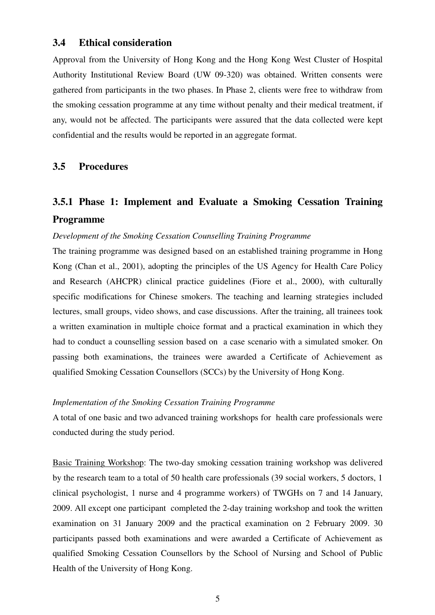#### **3.4 Ethical consideration**

Approval from the University of Hong Kong and the Hong Kong West Cluster of Hospital Authority Institutional Review Board (UW 09-320) was obtained. Written consents were gathered from participants in the two phases. In Phase 2, clients were free to withdraw from the smoking cessation programme at any time without penalty and their medical treatment, if any, would not be affected. The participants were assured that the data collected were kept confidential and the results would be reported in an aggregate format.

### **3.5 Procedures**

# **3.5.1 Phase 1: Implement and Evaluate a Smoking Cessation Training Programme**

#### *Development of the Smoking Cessation Counselling Training Programme*

The training programme was designed based on an established training programme in Hong Kong (Chan et al., 2001), adopting the principles of the US Agency for Health Care Policy and Research (AHCPR) clinical practice guidelines (Fiore et al., 2000), with culturally specific modifications for Chinese smokers. The teaching and learning strategies included lectures, small groups, video shows, and case discussions. After the training, all trainees took a written examination in multiple choice format and a practical examination in which they had to conduct a counselling session based on a case scenario with a simulated smoker. On passing both examinations, the trainees were awarded a Certificate of Achievement as qualified Smoking Cessation Counsellors (SCCs) by the University of Hong Kong.

#### *Implementation of the Smoking Cessation Training Programme*

A total of one basic and two advanced training workshops for health care professionals were conducted during the study period.

Basic Training Workshop: The two-day smoking cessation training workshop was delivered by the research team to a total of 50 health care professionals (39 social workers, 5 doctors, 1 clinical psychologist, 1 nurse and 4 programme workers) of TWGHs on 7 and 14 January, 2009. All except one participant completed the 2-day training workshop and took the written examination on 31 January 2009 and the practical examination on 2 February 2009. 30 participants passed both examinations and were awarded a Certificate of Achievement as qualified Smoking Cessation Counsellors by the School of Nursing and School of Public Health of the University of Hong Kong.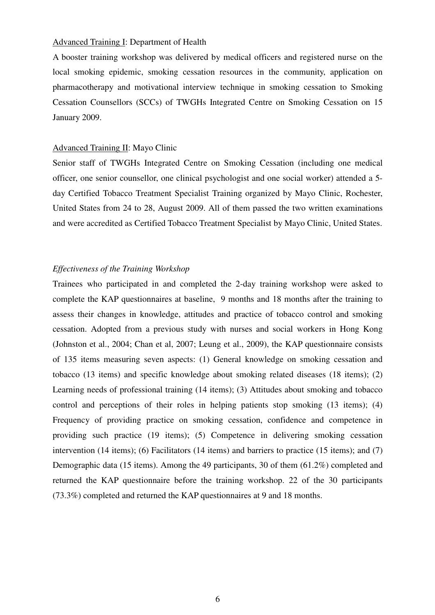#### Advanced Training I: Department of Health

A booster training workshop was delivered by medical officers and registered nurse on the local smoking epidemic, smoking cessation resources in the community, application on pharmacotherapy and motivational interview technique in smoking cessation to Smoking Cessation Counsellors (SCCs) of TWGHs Integrated Centre on Smoking Cessation on 15 January 2009.

#### Advanced Training II: Mayo Clinic

Senior staff of TWGHs Integrated Centre on Smoking Cessation (including one medical officer, one senior counsellor, one clinical psychologist and one social worker) attended a 5 day Certified Tobacco Treatment Specialist Training organized by Mayo Clinic, Rochester, United States from 24 to 28, August 2009. All of them passed the two written examinations and were accredited as Certified Tobacco Treatment Specialist by Mayo Clinic, United States.

#### *Effectiveness of the Training Workshop*

Trainees who participated in and completed the 2-day training workshop were asked to complete the KAP questionnaires at baseline, 9 months and 18 months after the training to assess their changes in knowledge, attitudes and practice of tobacco control and smoking cessation. Adopted from a previous study with nurses and social workers in Hong Kong (Johnston et al., 2004; Chan et al, 2007; Leung et al., 2009), the KAP questionnaire consists of 135 items measuring seven aspects: (1) General knowledge on smoking cessation and tobacco (13 items) and specific knowledge about smoking related diseases (18 items); (2) Learning needs of professional training (14 items); (3) Attitudes about smoking and tobacco control and perceptions of their roles in helping patients stop smoking (13 items); (4) Frequency of providing practice on smoking cessation, confidence and competence in providing such practice (19 items); (5) Competence in delivering smoking cessation intervention (14 items); (6) Facilitators (14 items) and barriers to practice (15 items); and (7) Demographic data (15 items). Among the 49 participants, 30 of them (61.2%) completed and returned the KAP questionnaire before the training workshop. 22 of the 30 participants (73.3%) completed and returned the KAP questionnaires at 9 and 18 months.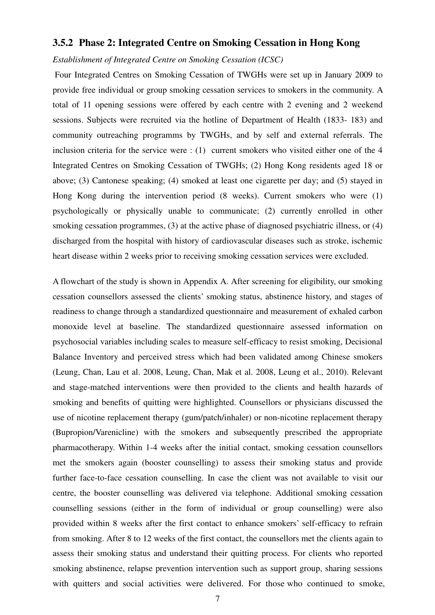#### **3.5.2 Phase 2: Integrated Centre on Smoking Cessation in Hong Kong**

*Establishment of Integrated Centre on Smoking Cessation (ICSC)* 

Four Integrated Centres on Smoking Cessation of TWGHs were set up in January 2009 to provide free individual or group smoking cessation services to smokers in the community. A total of 11 opening sessions were offered by each centre with 2 evening and 2 weekend sessions. Subjects were recruited via the hotline of Department of Health (1833- 183) and community outreaching programms by TWGHs, and by self and external referrals. The inclusion criteria for the service were : (1) current smokers who visited either one of the 4 Integrated Centres on Smoking Cessation of TWGHs; (2) Hong Kong residents aged 18 or above; (3) Cantonese speaking; (4) smoked at least one cigarette per day; and (5) stayed in Hong Kong during the intervention period (8 weeks). Current smokers who were (1) psychologically or physically unable to communicate; (2) currently enrolled in other smoking cessation programmes, (3) at the active phase of diagnosed psychiatric illness, or (4) discharged from the hospital with history of cardiovascular diseases such as stroke, ischemic heart disease within 2 weeks prior to receiving smoking cessation services were excluded.

A flowchart of the study is shown in Appendix A. After screening for eligibility, our smoking cessation counsellors assessed the clients' smoking status, abstinence history, and stages of readiness to change through a standardized questionnaire and measurement of exhaled carbon monoxide level at baseline. The standardized questionnaire assessed information on psychosocial variables including scales to measure self-efficacy to resist smoking, Decisional Balance Inventory and perceived stress which had been validated among Chinese smokers (Leung, Chan, Lau et al. 2008, Leung, Chan, Mak et al. 2008, Leung et al., 2010). Relevant and stage-matched interventions were then provided to the clients and health hazards of smoking and benefits of quitting were highlighted. Counsellors or physicians discussed the use of nicotine replacement therapy (gum/patch/inhaler) or non-nicotine replacement therapy (Bupropion/Varenicline) with the smokers and subsequently prescribed the appropriate pharmacotherapy. Within 1-4 weeks after the initial contact, smoking cessation counsellors met the smokers again (booster counselling) to assess their smoking status and provide further face-to-face cessation counselling. In case the client was not available to visit our centre, the booster counselling was delivered via telephone. Additional smoking cessation counselling sessions (either in the form of individual or group counselling) were also provided within 8 weeks after the first contact to enhance smokers' self-efficacy to refrain from smoking. After 8 to 12 weeks of the first contact, the counsellors met the clients again to assess their smoking status and understand their quitting process. For clients who reported smoking abstinence, relapse prevention intervention such as support group, sharing sessions with quitters and social activities were delivered. For those who continued to smoke,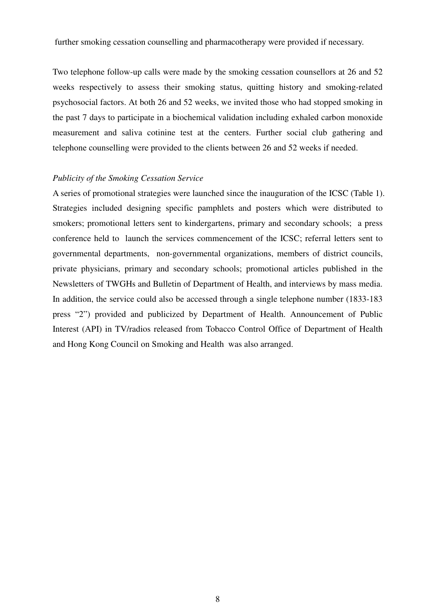further smoking cessation counselling and pharmacotherapy were provided if necessary.

Two telephone follow-up calls were made by the smoking cessation counsellors at 26 and 52 weeks respectively to assess their smoking status, quitting history and smoking-related psychosocial factors. At both 26 and 52 weeks, we invited those who had stopped smoking in the past 7 days to participate in a biochemical validation including exhaled carbon monoxide measurement and saliva cotinine test at the centers. Further social club gathering and telephone counselling were provided to the clients between 26 and 52 weeks if needed.

#### *Publicity of the Smoking Cessation Service*

A series of promotional strategies were launched since the inauguration of the ICSC (Table 1). Strategies included designing specific pamphlets and posters which were distributed to smokers; promotional letters sent to kindergartens, primary and secondary schools; a press conference held to launch the services commencement of the ICSC; referral letters sent to governmental departments, non-governmental organizations, members of district councils, private physicians, primary and secondary schools; promotional articles published in the Newsletters of TWGHs and Bulletin of Department of Health, and interviews by mass media. In addition, the service could also be accessed through a single telephone number (1833-183 press "2") provided and publicized by Department of Health. Announcement of Public Interest (API) in TV/radios released from Tobacco Control Office of Department of Health and Hong Kong Council on Smoking and Health was also arranged.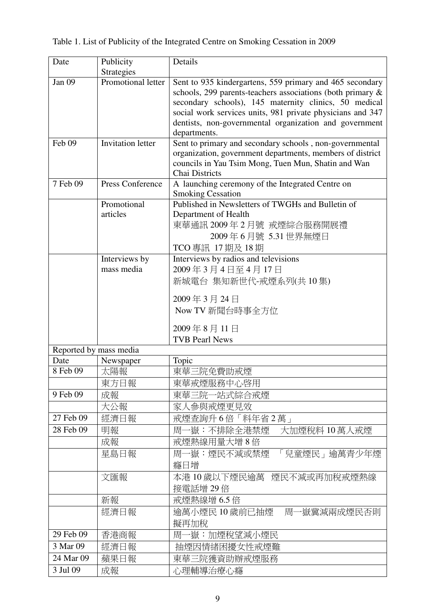| Date                   | Publicity                | Details                                                                                                                                                                                                                                                                                                                 |
|------------------------|--------------------------|-------------------------------------------------------------------------------------------------------------------------------------------------------------------------------------------------------------------------------------------------------------------------------------------------------------------------|
|                        | Strategies               |                                                                                                                                                                                                                                                                                                                         |
| Jan 09                 | Promotional letter       | Sent to 935 kindergartens, 559 primary and 465 secondary<br>schools, 299 parents-teachers associations (both primary &<br>secondary schools), 145 maternity clinics, 50 medical<br>social work services units, 981 private physicians and 347<br>dentists, non-governmental organization and government<br>departments. |
| Feb 09                 | <b>Invitation letter</b> | Sent to primary and secondary schools, non-governmental<br>organization, government departments, members of district<br>councils in Yau Tsim Mong, Tuen Mun, Shatin and Wan<br><b>Chai Districts</b>                                                                                                                    |
| 7 Feb 09               | Press Conference         | A launching ceremony of the Integrated Centre on<br><b>Smoking Cessation</b>                                                                                                                                                                                                                                            |
|                        | Promotional              | Published in Newsletters of TWGHs and Bulletin of                                                                                                                                                                                                                                                                       |
|                        | articles                 | Department of Health<br>東華通訊 2009年2月號 戒煙綜合服務開展禮<br>2009年6月號 5.31世界無煙日<br>TCO 專訊 17 期及 18 期                                                                                                                                                                                                                              |
|                        | Interviews by            | Interviews by radios and televisions                                                                                                                                                                                                                                                                                    |
|                        | mass media               | 2009年3月4日至4月17日                                                                                                                                                                                                                                                                                                         |
|                        |                          | 新城電台 集知新世代-戒煙系列(共10集)                                                                                                                                                                                                                                                                                                   |
|                        |                          | 2009年3月24日                                                                                                                                                                                                                                                                                                              |
|                        |                          | Now TV 新聞台時事全方位                                                                                                                                                                                                                                                                                                         |
|                        |                          |                                                                                                                                                                                                                                                                                                                         |
|                        |                          | 2009年8月11日<br><b>TVB Pearl News</b>                                                                                                                                                                                                                                                                                     |
| Reported by mass media |                          |                                                                                                                                                                                                                                                                                                                         |
| Date                   | Newspaper                | Topic                                                                                                                                                                                                                                                                                                                   |
| 8 Feb 09               | 太陽報                      | 東華三院免費助戒煙                                                                                                                                                                                                                                                                                                               |
|                        | 東方日報                     | 東華戒煙服務中心啓用                                                                                                                                                                                                                                                                                                              |
| 9 Feb 09               | 成報                       | 東華三院一站式綜合戒煙                                                                                                                                                                                                                                                                                                             |
|                        | 大公報                      | 家人參與戒煙更見效                                                                                                                                                                                                                                                                                                               |
| 27 Feb 09              | 經濟日報                     | 戒煙查詢升6倍「料年省2萬」                                                                                                                                                                                                                                                                                                          |
| 28 Feb 09              | 明報                       | 一嶽:不排除全港禁煙<br>大加煙稅料 10萬人戒煙<br>厝                                                                                                                                                                                                                                                                                         |
|                        | 成報                       | 戒煙熱線用量大增8倍                                                                                                                                                                                                                                                                                                              |
|                        | 星島日報                     | 周一嶽: 煙民不減或禁煙<br>「兒童煙民」逾萬青少年煙                                                                                                                                                                                                                                                                                            |
|                        |                          | 癮日增                                                                                                                                                                                                                                                                                                                     |
|                        | 文匯報                      | 本港 10 歲以下煙民逾萬 煙民不減或再加稅戒煙熱線                                                                                                                                                                                                                                                                                              |
|                        |                          | 接電話增 29倍                                                                                                                                                                                                                                                                                                                |
|                        | 新報                       | 戒煙熱線增 6.5 倍                                                                                                                                                                                                                                                                                                             |
|                        | 經濟日報                     | 逾萬小煙民 10 歲前已抽煙<br>周一嶽冀減兩成煙民否則                                                                                                                                                                                                                                                                                           |
|                        |                          | 擬再加稅                                                                                                                                                                                                                                                                                                                    |
| 29 Feb 09              | 香港商報                     | 周一嶽:加煙稅望減小煙民                                                                                                                                                                                                                                                                                                            |
| 3 Mar 09               | 經濟日報                     | 抽煙因情緒困擾女性戒煙難                                                                                                                                                                                                                                                                                                            |
| 24 Mar 09              | 蘋果日報                     | 東華三院獲資助辦戒煙服務                                                                                                                                                                                                                                                                                                            |
| 3 Jul 09               | 成報                       | 心理輔導治療心癮                                                                                                                                                                                                                                                                                                                |

|  |  | Table 1. List of Publicity of the Integrated Centre on Smoking Cessation in 2009 |  |  |
|--|--|----------------------------------------------------------------------------------|--|--|
|  |  |                                                                                  |  |  |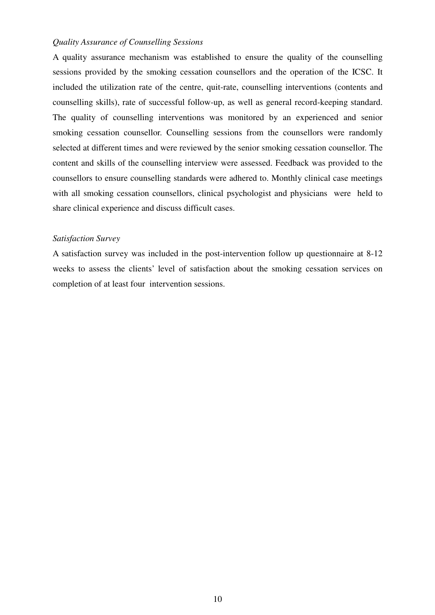#### *Quality Assurance of Counselling Sessions*

A quality assurance mechanism was established to ensure the quality of the counselling sessions provided by the smoking cessation counsellors and the operation of the ICSC. It included the utilization rate of the centre, quit-rate, counselling interventions (contents and counselling skills), rate of successful follow-up, as well as general record-keeping standard. The quality of counselling interventions was monitored by an experienced and senior smoking cessation counsellor. Counselling sessions from the counsellors were randomly selected at different times and were reviewed by the senior smoking cessation counsellor. The content and skills of the counselling interview were assessed. Feedback was provided to the counsellors to ensure counselling standards were adhered to. Monthly clinical case meetings with all smoking cessation counsellors, clinical psychologist and physicians were held to share clinical experience and discuss difficult cases.

#### *Satisfaction Survey*

A satisfaction survey was included in the post-intervention follow up questionnaire at 8-12 weeks to assess the clients' level of satisfaction about the smoking cessation services on completion of at least four intervention sessions.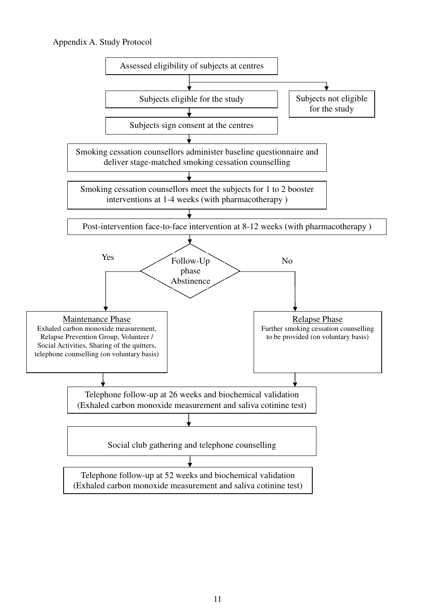#### Appendix A. Study Protocol

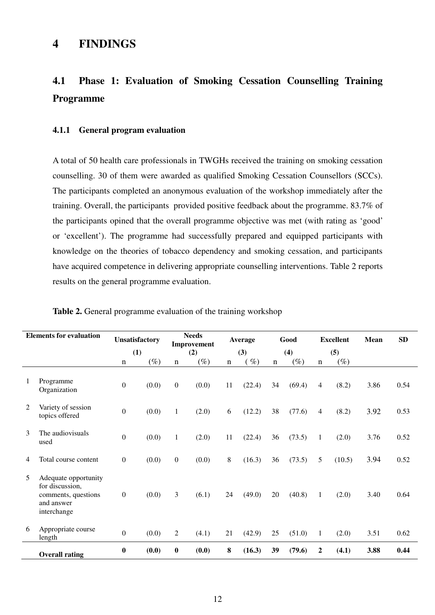# **4.1 Phase 1: Evaluation of Smoking Cessation Counselling Training Programme**

#### **4.1.1 General program evaluation**

A total of 50 health care professionals in TWGHs received the training on smoking cessation counselling. 30 of them were awarded as qualified Smoking Cessation Counsellors (SCCs). The participants completed an anonymous evaluation of the workshop immediately after the training. Overall, the participants provided positive feedback about the programme. 83.7% of the participants opined that the overall programme objective was met (with rating as 'good' or 'excellent'). The programme had successfully prepared and equipped participants with knowledge on the theories of tobacco dependency and smoking cessation, and participants have acquired competence in delivering appropriate counselling interventions. Table 2 reports results on the general programme evaluation.

|   | <b>Elements for evaluation</b>                                                              |                  | <b>Unsatisfactory</b> |                  | <b>Needs</b><br>Improvement |             | Average |             | Good   |                  | <b>Excellent</b> | Mean | SD   |
|---|---------------------------------------------------------------------------------------------|------------------|-----------------------|------------------|-----------------------------|-------------|---------|-------------|--------|------------------|------------------|------|------|
|   |                                                                                             |                  | (1)                   |                  | (2)                         |             | (3)     |             | (4)    |                  | (5)              |      |      |
|   |                                                                                             | $\mathbf n$      | $(\%)$                | $\mathbf n$      | $(\%)$                      | $\mathbf n$ | $\%$    | $\mathbf n$ | $(\%)$ | $\mathbf n$      | $(\%)$           |      |      |
| 1 | Programme<br>Organization                                                                   | $\boldsymbol{0}$ | (0.0)                 | $\boldsymbol{0}$ | (0.0)                       | 11          | (22.4)  | 34          | (69.4) | $\overline{4}$   | (8.2)            | 3.86 | 0.54 |
| 2 | Variety of session<br>topics offered                                                        | $\boldsymbol{0}$ | (0.0)                 | $\mathbf{1}$     | (2.0)                       | 6           | (12.2)  | 38          | (77.6) | $\overline{4}$   | (8.2)            | 3.92 | 0.53 |
| 3 | The audiovisuals<br>used                                                                    | $\mathbf{0}$     | (0.0)                 | $\mathbf{1}$     | (2.0)                       | 11          | (22.4)  | 36          | (73.5) | $\mathbf{1}$     | (2.0)            | 3.76 | 0.52 |
| 4 | Total course content                                                                        | $\boldsymbol{0}$ | (0.0)                 | $\mathbf{0}$     | (0.0)                       | 8           | (16.3)  | 36          | (73.5) | 5                | (10.5)           | 3.94 | 0.52 |
| 5 | Adequate opportunity<br>for discussion,<br>comments, questions<br>and answer<br>interchange | $\boldsymbol{0}$ | (0.0)                 | 3                | (6.1)                       | 24          | (49.0)  | 20          | (40.8) | $\mathbf{1}$     | (2.0)            | 3.40 | 0.64 |
| 6 | Appropriate course<br>length                                                                | $\boldsymbol{0}$ | (0.0)                 | 2                | (4.1)                       | 21          | (42.9)  | 25          | (51.0) | $\mathbf{1}$     | (2.0)            | 3.51 | 0.62 |
|   | <b>Overall rating</b>                                                                       | $\boldsymbol{0}$ | (0.0)                 | $\boldsymbol{0}$ | (0.0)                       | 8           | (16.3)  | 39          | (79.6) | $\boldsymbol{2}$ | (4.1)            | 3.88 | 0.44 |

|  |  | Table 2. General programme evaluation of the training workshop |  |
|--|--|----------------------------------------------------------------|--|
|--|--|----------------------------------------------------------------|--|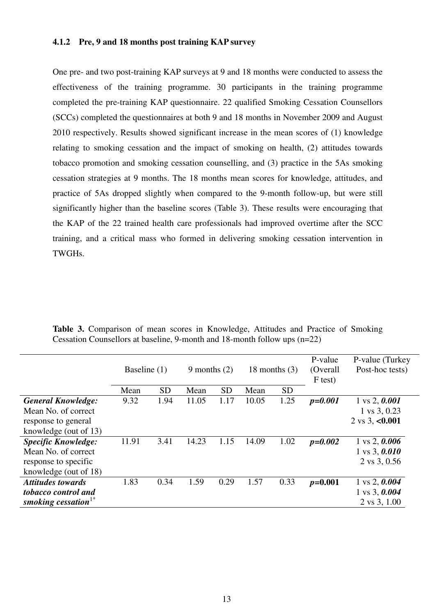#### **4.1.2 Pre, 9 and 18 months post training KAP survey**

One pre- and two post-training KAP surveys at 9 and 18 months were conducted to assess the effectiveness of the training programme. 30 participants in the training programme completed the pre-training KAP questionnaire. 22 qualified Smoking Cessation Counsellors (SCCs) completed the questionnaires at both 9 and 18 months in November 2009 and August 2010 respectively. Results showed significant increase in the mean scores of (1) knowledge relating to smoking cessation and the impact of smoking on health, (2) attitudes towards tobacco promotion and smoking cessation counselling, and (3) practice in the 5As smoking cessation strategies at 9 months. The 18 months mean scores for knowledge, attitudes, and practice of 5As dropped slightly when compared to the 9-month follow-up, but were still significantly higher than the baseline scores (Table 3). These results were encouraging that the KAP of the 22 trained health care professionals had improved overtime after the SCC training, and a critical mass who formed in delivering smoking cessation intervention in TWGHs.

|                            |       | Baseline (1)<br>9 months $(2)$ |       |           | 18 months $(3)$ |           | P-value<br>(Overall)<br>F test) | P-value (Turkey<br>Post-hoc tests) |
|----------------------------|-------|--------------------------------|-------|-----------|-----------------|-----------|---------------------------------|------------------------------------|
|                            | Mean  | <b>SD</b>                      | Mean  | <b>SD</b> | Mean            | <b>SD</b> |                                 |                                    |
| <b>General Knowledge:</b>  | 9.32  | 1.94                           | 11.05 | 1.17      | 10.05           | 1.25      | $p = 0.001$                     | $1 \text{ vs } 2, 0.001$           |
| Mean No. of correct        |       |                                |       |           |                 |           |                                 | 1 vs 3, 0.23                       |
| response to general        |       |                                |       |           |                 |           |                                 | 2 vs 3, $< 0.001$                  |
| knowledge (out of 13)      |       |                                |       |           |                 |           |                                 |                                    |
| <b>Specific Knowledge:</b> | 11.91 | 3.41                           | 14.23 | 1.15      | 14.09           | 1.02      | $p=0.002$                       | $1 \text{ vs } 2, 0.006$           |
| Mean No. of correct        |       |                                |       |           |                 |           |                                 | $1 \text{ vs } 3, 0.010$           |
| response to specific       |       |                                |       |           |                 |           |                                 | 2 vs 3, 0.56                       |
| knowledge (out of 18)      |       |                                |       |           |                 |           |                                 |                                    |
| <b>Attitudes towards</b>   | 1.83  | 0.34                           | 1.59  | 0.29      | 1.57            | 0.33      | $p=0.001$                       | $1 \text{ vs } 2, 0.004$           |
| tobacco control and        |       |                                |       |           |                 |           |                                 | $1 \text{ vs } 3, 0.004$           |
| smoking cessation $1^*$    |       |                                |       |           |                 |           |                                 | 2 vs 3, 1.00                       |

**Table 3.** Comparison of mean scores in Knowledge, Attitudes and Practice of Smoking Cessation Counsellors at baseline, 9-month and 18-month follow ups (n=22)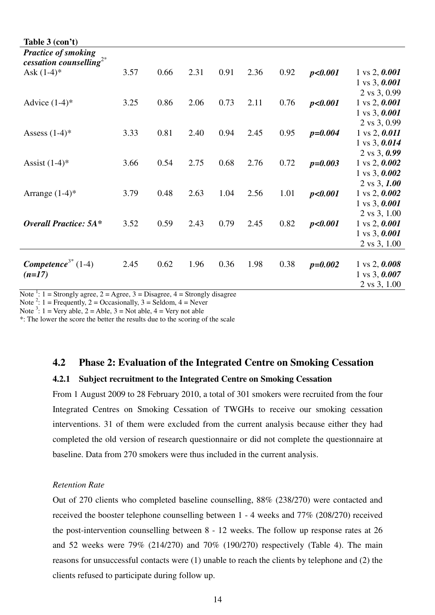| Table 3 (con't)                                                   |      |      |      |      |      |      |             |                                                      |
|-------------------------------------------------------------------|------|------|------|------|------|------|-------------|------------------------------------------------------|
| <b>Practice of smoking</b><br>cessation counselling <sup>2*</sup> |      |      |      |      |      |      |             |                                                      |
| Ask $(1-4)^*$                                                     | 3.57 | 0.66 | 2.31 | 0.91 | 2.36 | 0.92 | p<0.001     | $1 \text{ vs } 2, 0.001$                             |
|                                                                   |      |      |      |      |      |      |             | $1 \text{ vs } 3, 0.001$                             |
|                                                                   |      |      |      |      |      |      |             | 2 vs 3, 0.99                                         |
| Advice $(1-4)$ <sup>*</sup>                                       | 3.25 | 0.86 | 2.06 | 0.73 | 2.11 | 0.76 | p<0.001     | $1 \text{ vs } 2, 0.001$                             |
|                                                                   |      |      |      |      |      |      |             | $1 \text{ vs } 3, 0.001$                             |
|                                                                   |      |      |      |      |      |      |             | 2 vs 3, 0.99                                         |
| Assess $(1-4)$ <sup>*</sup>                                       | 3.33 | 0.81 | 2.40 | 0.94 | 2.45 | 0.95 | $p = 0.004$ | $1 \text{ vs } 2, 0.011$<br>$1 \text{ vs } 3, 0.014$ |
|                                                                   |      |      |      |      |      |      |             | $2 \text{ vs } 3, 0.99$                              |
| Assist $(1-4)$ <sup>*</sup>                                       | 3.66 | 0.54 | 2.75 | 0.68 | 2.76 | 0.72 | $p = 0.003$ | $1 \text{ vs } 2, 0.002$                             |
|                                                                   |      |      |      |      |      |      |             | 1 vs 3, $0.002$                                      |
|                                                                   |      |      |      |      |      |      |             | $2 \text{ vs } 3, 1.00$                              |
| Arrange $(1-4)$ *                                                 | 3.79 | 0.48 | 2.63 | 1.04 | 2.56 | 1.01 | p<0.001     | $1 \text{ vs } 2, 0.002$                             |
|                                                                   |      |      |      |      |      |      |             | $1 \text{ vs } 3, 0.001$                             |
|                                                                   |      |      |      |      |      |      |             | 2 vs 3, 1.00                                         |
| <b>Overall Practice: 5A*</b>                                      | 3.52 | 0.59 | 2.43 | 0.79 | 2.45 | 0.82 | p<0.001     | $1 \text{ vs } 2, 0.001$                             |
|                                                                   |      |      |      |      |      |      |             | $1 \text{ vs } 3, 0.001$                             |
|                                                                   |      |      |      |      |      |      |             | 2 vs 3, 1.00                                         |
| Competence <sup>3*</sup> $(1-4)$                                  |      | 0.62 | 1.96 | 0.36 |      |      |             |                                                      |
| $(n=17)$                                                          | 2.45 |      |      |      | 1.98 | 0.38 | $p=0.002$   | $1 \text{ vs } 2, 0.008$                             |
|                                                                   |      |      |      |      |      |      |             | 1 vs 3, $0.007$<br>2 vs 3, 1.00                      |
|                                                                   |      |      |      |      |      |      |             |                                                      |

Note <sup>1</sup>: 1 = Strongly agree, 2 = Agree, 3 = Disagree, 4 = Strongly disagree

Note<sup>2</sup>: 1 = Frequently, 2 = Occasionally, 3 = Seldom, 4 = Never

Note <sup>3</sup>: 1 = Very able, 2 = Able, 3 = Not able, 4 = Very not able

\*: The lower the score the better the results due to the scoring of the scale

### **4.2 Phase 2: Evaluation of the Integrated Centre on Smoking Cessation**

#### **4.2.1 Subject recruitment to the Integrated Centre on Smoking Cessation**

From 1 August 2009 to 28 February 2010, a total of 301 smokers were recruited from the four Integrated Centres on Smoking Cessation of TWGHs to receive our smoking cessation interventions. 31 of them were excluded from the current analysis because either they had completed the old version of research questionnaire or did not complete the questionnaire at baseline. Data from 270 smokers were thus included in the current analysis.

#### *Retention Rate*

Out of 270 clients who completed baseline counselling, 88% (238/270) were contacted and received the booster telephone counselling between 1 - 4 weeks and 77% (208/270) received the post-intervention counselling between 8 - 12 weeks. The follow up response rates at 26 and 52 weeks were 79% (214/270) and 70% (190/270) respectively (Table 4). The main reasons for unsuccessful contacts were (1) unable to reach the clients by telephone and (2) the clients refused to participate during follow up.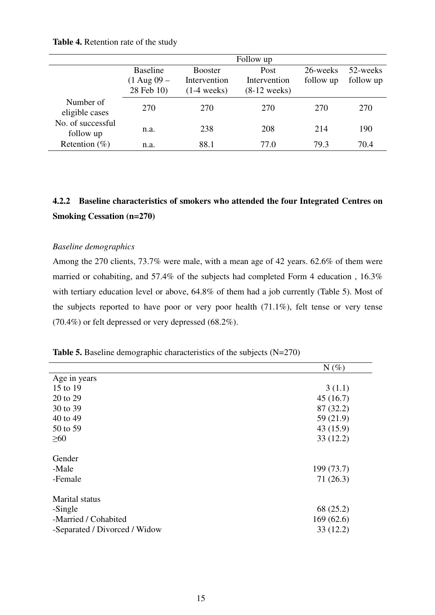#### **Table 4.** Retention rate of the study

|                                |                                                  |                                                 | Follow up                              |                       |                       |
|--------------------------------|--------------------------------------------------|-------------------------------------------------|----------------------------------------|-----------------------|-----------------------|
|                                | <b>Baseline</b><br>$(1$ Aug $09 -$<br>28 Feb 10) | <b>Booster</b><br>Intervention<br>$(1-4$ weeks) | Post<br>Intervention<br>$(8-12$ weeks) | 26-weeks<br>follow up | 52-weeks<br>follow up |
| Number of<br>eligible cases    | 270                                              | 270                                             | 270                                    | 270                   | 270                   |
| No. of successful<br>follow up | n.a.                                             | 238                                             | 208                                    | 214                   | 190                   |
| Retention $(\%)$               | n.a.                                             | 88.1                                            | 77.0                                   | 79.3                  | 70.4                  |

# **4.2.2 Baseline characteristics of smokers who attended the four Integrated Centres on Smoking Cessation (n=270)**

#### *Baseline demographics*

Among the 270 clients, 73.7% were male, with a mean age of 42 years. 62.6% of them were married or cohabiting, and 57.4% of the subjects had completed Form 4 education, 16.3% with tertiary education level or above, 64.8% of them had a job currently (Table 5). Most of the subjects reported to have poor or very poor health (71.1%), felt tense or very tense (70.4%) or felt depressed or very depressed (68.2%).

| <b>Table 5.</b> Baseline demographic characteristics of the subjects $(N=270)$ |  |  |  |  |  |
|--------------------------------------------------------------------------------|--|--|--|--|--|
|--------------------------------------------------------------------------------|--|--|--|--|--|

|                               | $N(\%)$    |
|-------------------------------|------------|
| Age in years                  |            |
| 15 to 19                      | 3(1.1)     |
| 20 to 29                      | 45(16.7)   |
| 30 to 39                      | 87 (32.2)  |
| 40 to 49                      | 59 (21.9)  |
| 50 to 59                      | 43 (15.9)  |
| $\geq 60$                     | 33(12.2)   |
| Gender                        |            |
| -Male                         | 199 (73.7) |
| -Female                       | 71(26.3)   |
| Marital status                |            |
| -Single                       | 68 (25.2)  |
| -Married / Cohabited          | 169(62.6)  |
| -Separated / Divorced / Widow | 33(12.2)   |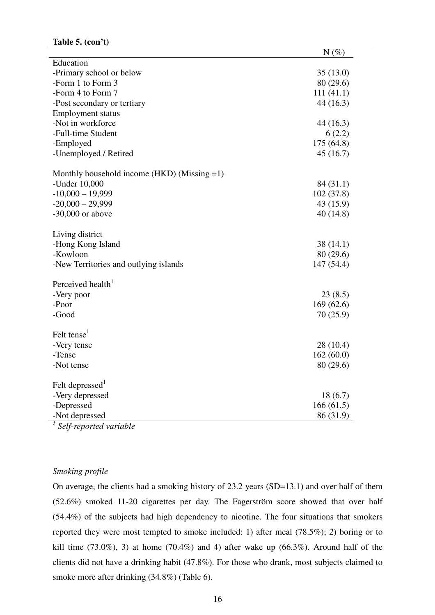|                                                | $N(\%)$    |
|------------------------------------------------|------------|
| Education                                      |            |
| -Primary school or below                       | 35(13.0)   |
| -Form 1 to Form 3                              | 80 (29.6)  |
| -Form 4 to Form 7                              | 111(41.1)  |
| -Post secondary or tertiary                    | 44(16.3)   |
| <b>Employment status</b>                       |            |
| -Not in workforce                              | 44 (16.3)  |
| -Full-time Student                             | 6(2.2)     |
| -Employed                                      | 175 (64.8) |
| -Unemployed / Retired                          | 45(16.7)   |
| Monthly household income (HKD) (Missing $=1$ ) |            |
| -Under 10,000                                  | 84 (31.1)  |
| $-10,000 - 19,999$                             | 102(37.8)  |
| $-20,000 - 29,999$                             | 43 (15.9)  |
| $-30,000$ or above                             | 40(14.8)   |
| Living district                                |            |
| -Hong Kong Island                              | 38(14.1)   |
| -Kowloon                                       | 80 (29.6)  |
| -New Territories and outlying islands          | 147 (54.4) |
| Perceived health <sup>1</sup>                  |            |
| -Very poor                                     | 23(8.5)    |
| -Poor                                          | 169(62.6)  |
| -Good                                          | 70(25.9)   |
|                                                |            |
| Felt tense <sup>1</sup>                        |            |
| -Very tense                                    | 28 (10.4)  |
| -Tense                                         | 162(60.0)  |
| -Not tense                                     | 80 (29.6)  |
| Felt depressed <sup>1</sup>                    |            |
| -Very depressed                                | 18(6.7)    |
| -Depressed                                     | 166(61.5)  |
| -Not depressed                                 | 86 (31.9)  |
|                                                |            |

*1 Self-reported variable* 

#### *Smoking profile*

On average, the clients had a smoking history of 23.2 years (SD=13.1) and over half of them (52.6%) smoked 11-20 cigarettes per day. The Fagerström score showed that over half (54.4%) of the subjects had high dependency to nicotine. The four situations that smokers reported they were most tempted to smoke included: 1) after meal (78.5%); 2) boring or to kill time  $(73.0\%)$ , 3) at home  $(70.4\%)$  and 4) after wake up  $(66.3\%)$ . Around half of the clients did not have a drinking habit (47.8%). For those who drank, most subjects claimed to smoke more after drinking (34.8%) (Table 6).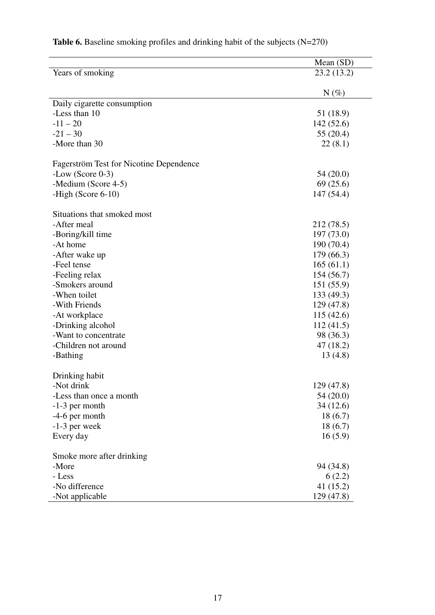|                                         | Mean (SD)  |
|-----------------------------------------|------------|
| Years of smoking                        | 23.2(13.2) |
|                                         |            |
|                                         | $N(\%)$    |
| Daily cigarette consumption             |            |
| -Less than 10                           | 51 (18.9)  |
| $-11 - 20$                              | 142(52.6)  |
| $-21 - 30$                              | 55 (20.4)  |
| -More than 30                           | 22(8.1)    |
| Fagerström Test for Nicotine Dependence |            |
| $-Low$ (Score 0-3)                      | 54 (20.0)  |
| -Medium (Score 4-5)                     | 69(25.6)   |
| -High (Score $6-10$ )                   | 147(54.4)  |
|                                         |            |
| Situations that smoked most             |            |
| -After meal                             | 212 (78.5) |
| -Boring/kill time                       | 197(73.0)  |
| -At home                                | 190 (70.4) |
| -After wake up                          | 179(66.3)  |
| -Feel tense                             | 165(61.1)  |
| -Feeling relax                          | 154(56.7)  |
| -Smokers around                         | 151(55.9)  |
| -When toilet                            | 133 (49.3) |
| -With Friends                           | 129(47.8)  |
| -At workplace                           | 115(42.6)  |
| -Drinking alcohol                       | 112(41.5)  |
| -Want to concentrate                    | 98 (36.3)  |
| -Children not around                    | 47 (18.2)  |
| -Bathing                                | 13(4.8)    |
|                                         |            |
| Drinking habit                          |            |
| -Not drink                              | 129 (47.8) |
| -Less than once a month                 | 54 (20.0)  |
| $-1-3$ per month                        | 34 (12.6)  |
| $-4-6$ per month                        | 18(6.7)    |
| $-1-3$ per week                         | 18(6.7)    |
| Every day                               | 16(5.9)    |
| Smoke more after drinking               |            |
| -More                                   | 94 (34.8)  |
| - Less                                  | 6(2.2)     |
| -No difference                          | 41 (15.2)  |
| -Not applicable                         | 129 (47.8) |

# **Table 6.** Baseline smoking profiles and drinking habit of the subjects (N=270)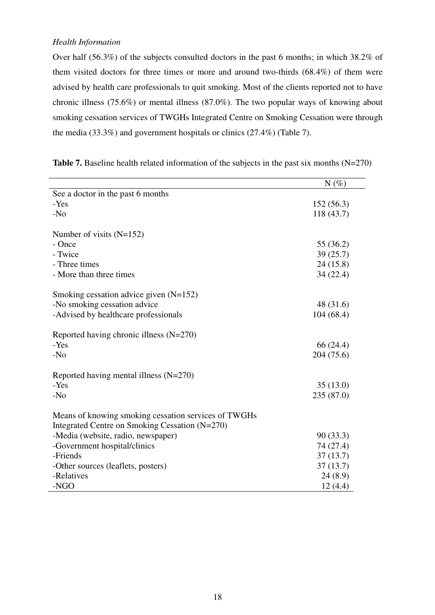#### *Health Information*

Over half (56.3%) of the subjects consulted doctors in the past 6 months; in which 38.2% of them visited doctors for three times or more and around two-thirds (68.4%) of them were advised by health care professionals to quit smoking. Most of the clients reported not to have chronic illness (75.6%) or mental illness (87.0%). The two popular ways of knowing about smoking cessation services of TWGHs Integrated Centre on Smoking Cessation were through the media (33.3%) and government hospitals or clinics (27.4%) (Table 7).

|                                                                                                        | $N(\%)$    |
|--------------------------------------------------------------------------------------------------------|------------|
| See a doctor in the past 6 months                                                                      |            |
| -Yes                                                                                                   | 152(56.3)  |
| $-N0$                                                                                                  | 118 (43.7) |
| Number of visits $(N=152)$                                                                             |            |
| - Once                                                                                                 | 55 (36.2)  |
| - Twice                                                                                                | 39(25.7)   |
| - Three times                                                                                          | 24(15.8)   |
| - More than three times                                                                                | 34(22.4)   |
| Smoking cessation advice given $(N=152)$                                                               |            |
| -No smoking cessation advice                                                                           | 48 (31.6)  |
| -Advised by healthcare professionals                                                                   | 104 (68.4) |
| Reported having chronic illness $(N=270)$                                                              |            |
| -Yes                                                                                                   | 66 (24.4)  |
| $-N0$                                                                                                  | 204 (75.6) |
| Reported having mental illness $(N=270)$                                                               |            |
| -Yes                                                                                                   | 35(13.0)   |
| $-N0$                                                                                                  | 235 (87.0) |
| Means of knowing smoking cessation services of TWGHs<br>Integrated Centre on Smoking Cessation (N=270) |            |
| -Media (website, radio, newspaper)                                                                     | 90(33.3)   |
| -Government hospital/clinics                                                                           | 74 (27.4)  |
| -Friends                                                                                               | 37(13.7)   |
| -Other sources (leaflets, posters)                                                                     | 37(13.7)   |
| -Relatives                                                                                             | 24(8.9)    |
| -NGO                                                                                                   | 12(4.4)    |

Table 7. Baseline health related information of the subjects in the past six months (N=270)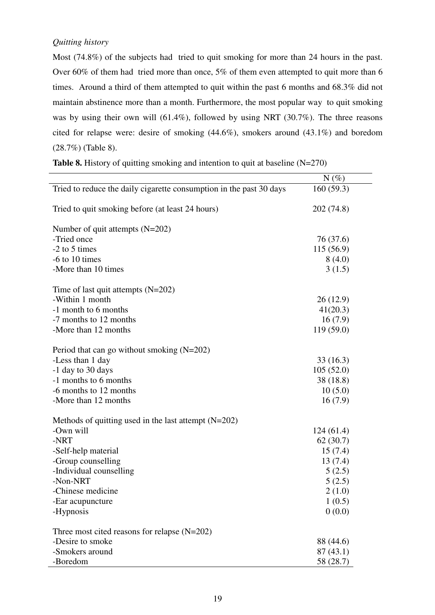### *Quitting history*

Most (74.8%) of the subjects had tried to quit smoking for more than 24 hours in the past. Over 60% of them had tried more than once, 5% of them even attempted to quit more than 6 times. Around a third of them attempted to quit within the past 6 months and 68.3% did not maintain abstinence more than a month. Furthermore, the most popular way to quit smoking was by using their own will (61.4%), followed by using NRT (30.7%). The three reasons cited for relapse were: desire of smoking (44.6%), smokers around (43.1%) and boredom (28.7%) (Table 8).

|  |  |  | <b>Table 8.</b> History of quitting smoking and intention to quit at baseline $(N=270)$ |  |
|--|--|--|-----------------------------------------------------------------------------------------|--|
|  |  |  |                                                                                         |  |

|                                                                     | $N(\%)$    |
|---------------------------------------------------------------------|------------|
| Tried to reduce the daily cigarette consumption in the past 30 days | 160(59.3)  |
| Tried to quit smoking before (at least 24 hours)                    | 202 (74.8) |
| Number of quit attempts $(N=202)$                                   |            |
| -Tried once                                                         | 76 (37.6)  |
| -2 to 5 times                                                       | 115 (56.9) |
| $-6$ to 10 times                                                    | 8(4.0)     |
| -More than 10 times                                                 | 3(1.5)     |
| Time of last quit attempts $(N=202)$                                |            |
| -Within 1 month                                                     | 26(12.9)   |
| -1 month to 6 months                                                | 41(20.3)   |
| -7 months to 12 months                                              | 16(7.9)    |
| -More than 12 months                                                | 119(59.0)  |
| Period that can go without smoking $(N=202)$                        |            |
| -Less than 1 day                                                    | 33(16.3)   |
| -1 day to 30 days                                                   | 105(52.0)  |
| -1 months to 6 months                                               | 38 (18.8)  |
| -6 months to 12 months                                              | 10(5.0)    |
| -More than 12 months                                                | 16(7.9)    |
| Methods of quitting used in the last attempt $(N=202)$              |            |
| -Own will                                                           | 124(61.4)  |
| -NRT                                                                | 62(30.7)   |
| -Self-help material                                                 | 15(7.4)    |
| -Group counselling                                                  | 13(7.4)    |
| -Individual counselling                                             | 5(2.5)     |
| -Non-NRT                                                            | 5(2.5)     |
| -Chinese medicine                                                   | 2(1.0)     |
| -Ear acupuncture                                                    | 1(0.5)     |
| -Hypnosis                                                           | 0(0.0)     |
| Three most cited reasons for relapse $(N=202)$                      |            |
| -Desire to smoke                                                    | 88 (44.6)  |
| -Smokers around                                                     | 87(43.1)   |
| -Boredom                                                            | 58 (28.7)  |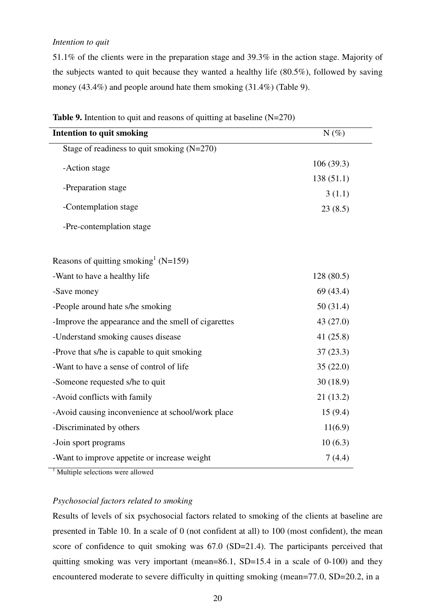#### *Intention to quit*

51.1% of the clients were in the preparation stage and 39.3% in the action stage. Majority of the subjects wanted to quit because they wanted a healthy life (80.5%), followed by saving money (43.4%) and people around hate them smoking (31.4%) (Table 9).

| <b>Intention to quit smoking</b>                    | $N(\%)$   |
|-----------------------------------------------------|-----------|
| Stage of readiness to quit smoking $(N=270)$        |           |
| -Action stage                                       | 106(39.3) |
|                                                     | 138(51.1) |
| -Preparation stage                                  | 3(1.1)    |
| -Contemplation stage                                | 23(8.5)   |
| -Pre-contemplation stage                            |           |
|                                                     |           |
| Reasons of quitting smoking $(N=159)$               |           |
| -Want to have a healthy life                        | 128(80.5) |
| -Save money                                         | 69 (43.4) |
| -People around hate s/he smoking                    | 50(31.4)  |
| -Improve the appearance and the smell of cigarettes | 43 (27.0) |
| -Understand smoking causes disease                  | 41 (25.8) |
| -Prove that s/he is capable to quit smoking         | 37(23.3)  |
| -Want to have a sense of control of life            | 35(22.0)  |
| -Someone requested s/he to quit                     | 30(18.9)  |
| -Avoid conflicts with family                        | 21(13.2)  |
| -Avoid causing inconvenience at school/work place   | 15(9.4)   |
| -Discriminated by others                            | 11(6.9)   |
| -Join sport programs                                | 10(6.3)   |
| -Want to improve appetite or increase weight        | 7(4.4)    |

**Table 9.** Intention to quit and reasons of quitting at baseline (N=270)

<sup>1</sup> Multiple selections were allowed

#### *Psychosocial factors related to smoking*

Results of levels of six psychosocial factors related to smoking of the clients at baseline are presented in Table 10. In a scale of 0 (not confident at all) to 100 (most confident), the mean score of confidence to quit smoking was 67.0 (SD=21.4). The participants perceived that quitting smoking was very important (mean=86.1,  $SD=15.4$  in a scale of 0-100) and they encountered moderate to severe difficulty in quitting smoking (mean=77.0, SD=20.2, in a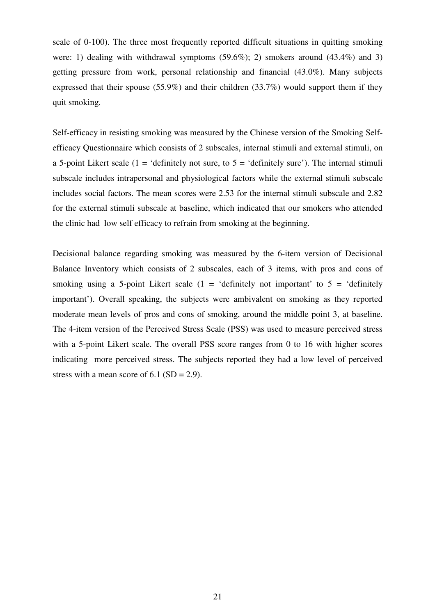scale of 0-100). The three most frequently reported difficult situations in quitting smoking were: 1) dealing with withdrawal symptoms (59.6%); 2) smokers around (43.4%) and 3) getting pressure from work, personal relationship and financial (43.0%). Many subjects expressed that their spouse (55.9%) and their children (33.7%) would support them if they quit smoking.

Self-efficacy in resisting smoking was measured by the Chinese version of the Smoking Selfefficacy Questionnaire which consists of 2 subscales, internal stimuli and external stimuli, on a 5-point Likert scale (1 = 'definitely not sure, to  $5 =$  'definitely sure'). The internal stimuli subscale includes intrapersonal and physiological factors while the external stimuli subscale includes social factors. The mean scores were 2.53 for the internal stimuli subscale and 2.82 for the external stimuli subscale at baseline, which indicated that our smokers who attended the clinic had low self efficacy to refrain from smoking at the beginning.

Decisional balance regarding smoking was measured by the 6-item version of Decisional Balance Inventory which consists of 2 subscales, each of 3 items, with pros and cons of smoking using a 5-point Likert scale  $(1 - \text{`definitely not important' to } 5 - \text{`definitely}]$ important'). Overall speaking, the subjects were ambivalent on smoking as they reported moderate mean levels of pros and cons of smoking, around the middle point 3, at baseline. The 4-item version of the Perceived Stress Scale (PSS) was used to measure perceived stress with a 5-point Likert scale. The overall PSS score ranges from 0 to 16 with higher scores indicating more perceived stress. The subjects reported they had a low level of perceived stress with a mean score of  $6.1$  (SD = 2.9).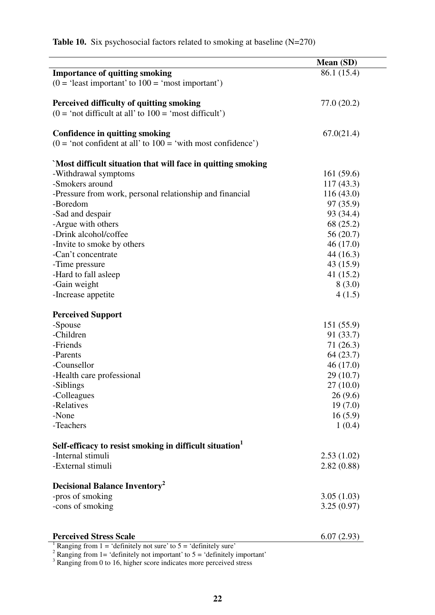| <b>Importance of quitting smoking</b><br>86.1 (15.4)<br>$(0 = 'least important' to 100 = 'most important')$<br>77.0(20.2)<br>Perceived difficulty of quitting smoking<br>$(0 = 'not difficult at all' to 100 = 'most difficult')$<br>67.0(21.4)<br><b>Confidence in quitting smoking</b><br>$(0 = 'not confident at all' to 100 = 'with most confidence')$<br>`Most difficult situation that will face in quitting smoking<br>-Withdrawal symptoms<br>161(59.6)<br>-Smokers around<br>117(43.3)<br>116(43.0)<br>-Pressure from work, personal relationship and financial<br>97 (35.9)<br>-Boredom<br>-Sad and despair<br>93 (34.4)<br>-Argue with others<br>68 (25.2)<br>-Drink alcohol/coffee<br>56(20.7)<br>-Invite to smoke by others<br>46(17.0)<br>44 (16.3)<br>-Can't concentrate<br>43 (15.9)<br>-Time pressure<br>-Hard to fall asleep<br>41(15.2)<br>-Gain weight<br>8(3.0)<br>-Increase appetite<br>4(1.5)<br><b>Perceived Support</b><br>-Spouse<br>151(55.9)<br>-Children<br>91 (33.7)<br>-Friends<br>71(26.3)<br>-Parents<br>64(23.7)<br>-Counsellor<br>46(17.0)<br>29(10.7)<br>-Health care professional<br>-Siblings<br>27(10.0)<br>26(9.6)<br>-Colleagues<br>-Relatives<br>19(7.0)<br>-None<br>16(5.9)<br>-Teachers<br>1(0.4)<br>Self-efficacy to resist smoking in difficult situation<br>-Internal stimuli<br>2.53(1.02)<br>-External stimuli<br>2.82(0.88) | Mean (SD) |
|-------------------------------------------------------------------------------------------------------------------------------------------------------------------------------------------------------------------------------------------------------------------------------------------------------------------------------------------------------------------------------------------------------------------------------------------------------------------------------------------------------------------------------------------------------------------------------------------------------------------------------------------------------------------------------------------------------------------------------------------------------------------------------------------------------------------------------------------------------------------------------------------------------------------------------------------------------------------------------------------------------------------------------------------------------------------------------------------------------------------------------------------------------------------------------------------------------------------------------------------------------------------------------------------------------------------------------------------------------------------------------|-----------|
|                                                                                                                                                                                                                                                                                                                                                                                                                                                                                                                                                                                                                                                                                                                                                                                                                                                                                                                                                                                                                                                                                                                                                                                                                                                                                                                                                                               |           |
|                                                                                                                                                                                                                                                                                                                                                                                                                                                                                                                                                                                                                                                                                                                                                                                                                                                                                                                                                                                                                                                                                                                                                                                                                                                                                                                                                                               |           |
|                                                                                                                                                                                                                                                                                                                                                                                                                                                                                                                                                                                                                                                                                                                                                                                                                                                                                                                                                                                                                                                                                                                                                                                                                                                                                                                                                                               |           |
|                                                                                                                                                                                                                                                                                                                                                                                                                                                                                                                                                                                                                                                                                                                                                                                                                                                                                                                                                                                                                                                                                                                                                                                                                                                                                                                                                                               |           |
|                                                                                                                                                                                                                                                                                                                                                                                                                                                                                                                                                                                                                                                                                                                                                                                                                                                                                                                                                                                                                                                                                                                                                                                                                                                                                                                                                                               |           |
|                                                                                                                                                                                                                                                                                                                                                                                                                                                                                                                                                                                                                                                                                                                                                                                                                                                                                                                                                                                                                                                                                                                                                                                                                                                                                                                                                                               |           |
|                                                                                                                                                                                                                                                                                                                                                                                                                                                                                                                                                                                                                                                                                                                                                                                                                                                                                                                                                                                                                                                                                                                                                                                                                                                                                                                                                                               |           |
|                                                                                                                                                                                                                                                                                                                                                                                                                                                                                                                                                                                                                                                                                                                                                                                                                                                                                                                                                                                                                                                                                                                                                                                                                                                                                                                                                                               |           |
|                                                                                                                                                                                                                                                                                                                                                                                                                                                                                                                                                                                                                                                                                                                                                                                                                                                                                                                                                                                                                                                                                                                                                                                                                                                                                                                                                                               |           |
|                                                                                                                                                                                                                                                                                                                                                                                                                                                                                                                                                                                                                                                                                                                                                                                                                                                                                                                                                                                                                                                                                                                                                                                                                                                                                                                                                                               |           |
|                                                                                                                                                                                                                                                                                                                                                                                                                                                                                                                                                                                                                                                                                                                                                                                                                                                                                                                                                                                                                                                                                                                                                                                                                                                                                                                                                                               |           |
|                                                                                                                                                                                                                                                                                                                                                                                                                                                                                                                                                                                                                                                                                                                                                                                                                                                                                                                                                                                                                                                                                                                                                                                                                                                                                                                                                                               |           |
|                                                                                                                                                                                                                                                                                                                                                                                                                                                                                                                                                                                                                                                                                                                                                                                                                                                                                                                                                                                                                                                                                                                                                                                                                                                                                                                                                                               |           |
|                                                                                                                                                                                                                                                                                                                                                                                                                                                                                                                                                                                                                                                                                                                                                                                                                                                                                                                                                                                                                                                                                                                                                                                                                                                                                                                                                                               |           |
|                                                                                                                                                                                                                                                                                                                                                                                                                                                                                                                                                                                                                                                                                                                                                                                                                                                                                                                                                                                                                                                                                                                                                                                                                                                                                                                                                                               |           |
|                                                                                                                                                                                                                                                                                                                                                                                                                                                                                                                                                                                                                                                                                                                                                                                                                                                                                                                                                                                                                                                                                                                                                                                                                                                                                                                                                                               |           |
|                                                                                                                                                                                                                                                                                                                                                                                                                                                                                                                                                                                                                                                                                                                                                                                                                                                                                                                                                                                                                                                                                                                                                                                                                                                                                                                                                                               |           |
|                                                                                                                                                                                                                                                                                                                                                                                                                                                                                                                                                                                                                                                                                                                                                                                                                                                                                                                                                                                                                                                                                                                                                                                                                                                                                                                                                                               |           |
|                                                                                                                                                                                                                                                                                                                                                                                                                                                                                                                                                                                                                                                                                                                                                                                                                                                                                                                                                                                                                                                                                                                                                                                                                                                                                                                                                                               |           |
|                                                                                                                                                                                                                                                                                                                                                                                                                                                                                                                                                                                                                                                                                                                                                                                                                                                                                                                                                                                                                                                                                                                                                                                                                                                                                                                                                                               |           |
|                                                                                                                                                                                                                                                                                                                                                                                                                                                                                                                                                                                                                                                                                                                                                                                                                                                                                                                                                                                                                                                                                                                                                                                                                                                                                                                                                                               |           |
|                                                                                                                                                                                                                                                                                                                                                                                                                                                                                                                                                                                                                                                                                                                                                                                                                                                                                                                                                                                                                                                                                                                                                                                                                                                                                                                                                                               |           |
|                                                                                                                                                                                                                                                                                                                                                                                                                                                                                                                                                                                                                                                                                                                                                                                                                                                                                                                                                                                                                                                                                                                                                                                                                                                                                                                                                                               |           |
|                                                                                                                                                                                                                                                                                                                                                                                                                                                                                                                                                                                                                                                                                                                                                                                                                                                                                                                                                                                                                                                                                                                                                                                                                                                                                                                                                                               |           |
|                                                                                                                                                                                                                                                                                                                                                                                                                                                                                                                                                                                                                                                                                                                                                                                                                                                                                                                                                                                                                                                                                                                                                                                                                                                                                                                                                                               |           |
|                                                                                                                                                                                                                                                                                                                                                                                                                                                                                                                                                                                                                                                                                                                                                                                                                                                                                                                                                                                                                                                                                                                                                                                                                                                                                                                                                                               |           |
|                                                                                                                                                                                                                                                                                                                                                                                                                                                                                                                                                                                                                                                                                                                                                                                                                                                                                                                                                                                                                                                                                                                                                                                                                                                                                                                                                                               |           |
|                                                                                                                                                                                                                                                                                                                                                                                                                                                                                                                                                                                                                                                                                                                                                                                                                                                                                                                                                                                                                                                                                                                                                                                                                                                                                                                                                                               |           |
|                                                                                                                                                                                                                                                                                                                                                                                                                                                                                                                                                                                                                                                                                                                                                                                                                                                                                                                                                                                                                                                                                                                                                                                                                                                                                                                                                                               |           |
|                                                                                                                                                                                                                                                                                                                                                                                                                                                                                                                                                                                                                                                                                                                                                                                                                                                                                                                                                                                                                                                                                                                                                                                                                                                                                                                                                                               |           |
|                                                                                                                                                                                                                                                                                                                                                                                                                                                                                                                                                                                                                                                                                                                                                                                                                                                                                                                                                                                                                                                                                                                                                                                                                                                                                                                                                                               |           |
|                                                                                                                                                                                                                                                                                                                                                                                                                                                                                                                                                                                                                                                                                                                                                                                                                                                                                                                                                                                                                                                                                                                                                                                                                                                                                                                                                                               |           |
|                                                                                                                                                                                                                                                                                                                                                                                                                                                                                                                                                                                                                                                                                                                                                                                                                                                                                                                                                                                                                                                                                                                                                                                                                                                                                                                                                                               |           |
|                                                                                                                                                                                                                                                                                                                                                                                                                                                                                                                                                                                                                                                                                                                                                                                                                                                                                                                                                                                                                                                                                                                                                                                                                                                                                                                                                                               |           |
|                                                                                                                                                                                                                                                                                                                                                                                                                                                                                                                                                                                                                                                                                                                                                                                                                                                                                                                                                                                                                                                                                                                                                                                                                                                                                                                                                                               |           |
|                                                                                                                                                                                                                                                                                                                                                                                                                                                                                                                                                                                                                                                                                                                                                                                                                                                                                                                                                                                                                                                                                                                                                                                                                                                                                                                                                                               |           |
|                                                                                                                                                                                                                                                                                                                                                                                                                                                                                                                                                                                                                                                                                                                                                                                                                                                                                                                                                                                                                                                                                                                                                                                                                                                                                                                                                                               |           |
|                                                                                                                                                                                                                                                                                                                                                                                                                                                                                                                                                                                                                                                                                                                                                                                                                                                                                                                                                                                                                                                                                                                                                                                                                                                                                                                                                                               |           |
| <b>Decisional Balance Inventory</b> <sup>2</sup>                                                                                                                                                                                                                                                                                                                                                                                                                                                                                                                                                                                                                                                                                                                                                                                                                                                                                                                                                                                                                                                                                                                                                                                                                                                                                                                              |           |
| -pros of smoking<br>3.05(1.03)                                                                                                                                                                                                                                                                                                                                                                                                                                                                                                                                                                                                                                                                                                                                                                                                                                                                                                                                                                                                                                                                                                                                                                                                                                                                                                                                                |           |
| -cons of smoking<br>3.25(0.97)                                                                                                                                                                                                                                                                                                                                                                                                                                                                                                                                                                                                                                                                                                                                                                                                                                                                                                                                                                                                                                                                                                                                                                                                                                                                                                                                                |           |
|                                                                                                                                                                                                                                                                                                                                                                                                                                                                                                                                                                                                                                                                                                                                                                                                                                                                                                                                                                                                                                                                                                                                                                                                                                                                                                                                                                               |           |
| <b>Perceived Stress Scale</b><br>6.07(2.93)                                                                                                                                                                                                                                                                                                                                                                                                                                                                                                                                                                                                                                                                                                                                                                                                                                                                                                                                                                                                                                                                                                                                                                                                                                                                                                                                   |           |
| Ranging from $1 = 'definitely not sure' to 5 = 'definitely sure'$                                                                                                                                                                                                                                                                                                                                                                                                                                                                                                                                                                                                                                                                                                                                                                                                                                                                                                                                                                                                                                                                                                                                                                                                                                                                                                             |           |
| Ranging from $1 = 'definitely not important' to 5 = 'definitely important'$<br>Ranging from 0 to 16, higher score indicates more perceived stress                                                                                                                                                                                                                                                                                                                                                                                                                                                                                                                                                                                                                                                                                                                                                                                                                                                                                                                                                                                                                                                                                                                                                                                                                             |           |

**Table 10.** Six psychosocial factors related to smoking at baseline (N=270)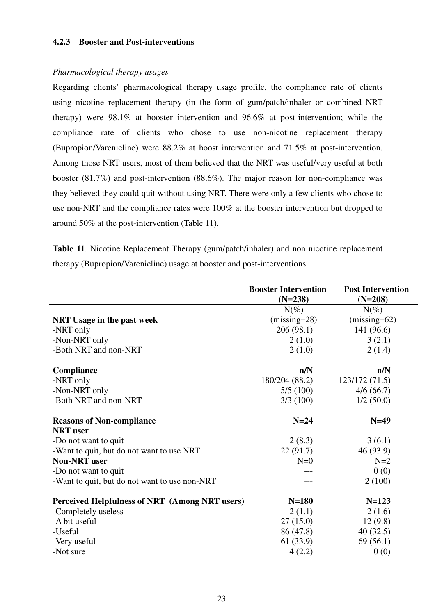#### **4.2.3 Booster and Post-interventions**

#### *Pharmacological therapy usages*

Regarding clients' pharmacological therapy usage profile, the compliance rate of clients using nicotine replacement therapy (in the form of gum/patch/inhaler or combined NRT therapy) were 98.1% at booster intervention and 96.6% at post-intervention; while the compliance rate of clients who chose to use non-nicotine replacement therapy (Bupropion/Varenicline) were 88.2% at boost intervention and 71.5% at post-intervention. Among those NRT users, most of them believed that the NRT was useful/very useful at both booster (81.7%) and post-intervention (88.6%). The major reason for non-compliance was they believed they could quit without using NRT. There were only a few clients who chose to use non-NRT and the compliance rates were 100% at the booster intervention but dropped to around 50% at the post-intervention (Table 11).

**Table 11**. Nicotine Replacement Therapy (gum/patch/inhaler) and non nicotine replacement therapy (Bupropion/Varenicline) usage at booster and post-interventions

|                                                | <b>Booster Intervention</b><br>$(N=238)$ | <b>Post Intervention</b><br>$(N=208)$ |
|------------------------------------------------|------------------------------------------|---------------------------------------|
|                                                | $N(\%)$                                  | $N(\%)$                               |
| <b>NRT Usage in the past week</b>              | $(missing=28)$                           | $(missing=62)$                        |
| -NRT only                                      | 206(98.1)                                | 141 (96.6)                            |
| -Non-NRT only                                  | 2(1.0)                                   | 3(2.1)                                |
| -Both NRT and non-NRT                          | 2(1.0)                                   | 2(1.4)                                |
| Compliance                                     | n/N                                      | n/N                                   |
| -NRT only                                      | 180/204 (88.2)                           | 123/172(71.5)                         |
| -Non-NRT only                                  | 5/5(100)                                 | 4/6(66.7)                             |
| -Both NRT and non-NRT                          | 3/3(100)                                 | 1/2(50.0)                             |
| <b>Reasons of Non-compliance</b>               | $N=24$                                   | $N=49$                                |
| <b>NRT</b> user                                |                                          |                                       |
| -Do not want to quit                           | 2(8.3)                                   | 3(6.1)                                |
| -Want to quit, but do not want to use NRT      | 22(91.7)                                 | 46 (93.9)                             |
| <b>Non-NRT</b> user                            | $N=0$                                    | $N=2$                                 |
| -Do not want to quit                           |                                          | 0(0)                                  |
| -Want to quit, but do not want to use non-NRT  |                                          | 2(100)                                |
| Perceived Helpfulness of NRT (Among NRT users) | $N=180$                                  | $N = 123$                             |
| -Completely useless                            | 2(1.1)                                   | 2(1.6)                                |
| -A bit useful                                  | 27(15.0)                                 | 12(9.8)                               |
| -Useful                                        | 86 (47.8)                                | 40(32.5)                              |
| -Very useful                                   | 61(33.9)                                 | 69(56.1)                              |
| -Not sure                                      | 4(2.2)                                   | 0(0)                                  |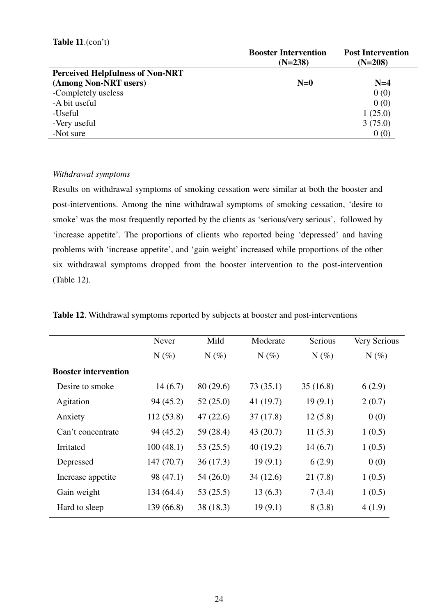|                                         | <b>Booster Intervention</b> | <b>Post Intervention</b> |
|-----------------------------------------|-----------------------------|--------------------------|
|                                         | $(N=238)$                   | $(N=208)$                |
| <b>Perceived Helpfulness of Non-NRT</b> |                             |                          |
| (Among Non-NRT users)                   | $N=0$                       | $N=4$                    |
| -Completely useless                     |                             | 0(0)                     |
| -A bit useful                           |                             | 0(0)                     |
| -Useful                                 |                             | 1(25.0)                  |
| -Very useful                            |                             | 3(75.0)                  |
| -Not sure                               |                             | 0(0)                     |

#### *Withdrawal symptoms*

Results on withdrawal symptoms of smoking cessation were similar at both the booster and post-interventions. Among the nine withdrawal symptoms of smoking cessation, 'desire to smoke' was the most frequently reported by the clients as 'serious/very serious', followed by 'increase appetite'. The proportions of clients who reported being 'depressed' and having problems with 'increase appetite', and 'gain weight' increased while proportions of the other six withdrawal symptoms dropped from the booster intervention to the post-intervention (Table 12).

|                             | Never     | Mild      | Moderate  | Serious  | Very Serious |
|-----------------------------|-----------|-----------|-----------|----------|--------------|
|                             | $N(\%)$   | $N(\%)$   | $N(\%)$   | $N(\%)$  | $N(\%)$      |
| <b>Booster intervention</b> |           |           |           |          |              |
| Desire to smoke             | 14(6.7)   | 80(29.6)  | 73(35.1)  | 35(16.8) | 6(2.9)       |
| Agitation                   | 94 (45.2) | 52(25.0)  | 41(19.7)  | 19(9.1)  | 2(0.7)       |
| Anxiety                     | 112(53.8) | 47(22.6)  | 37(17.8)  | 12(5.8)  | 0(0)         |
| Can't concentrate           | 94 (45.2) | 59 (28.4) | 43(20.7)  | 11(5.3)  | 1(0.5)       |
| Irritated                   | 100(48.1) | 53(25.5)  | 40(19.2)  | 14(6.7)  | 1(0.5)       |
| Depressed                   | 147(70.7) | 36(17.3)  | 19(9.1)   | 6(2.9)   | 0(0)         |
| Increase appetite           | 98 (47.1) | 54(26.0)  | 34 (12.6) | 21(7.8)  | 1(0.5)       |
| Gain weight                 | 134(64.4) | 53(25.5)  | 13(6.3)   | 7(3.4)   | 1(0.5)       |
| Hard to sleep               | 139(66.8) | 38 (18.3) | 19(9.1)   | 8(3.8)   | 4(1.9)       |

**Table 12**. Withdrawal symptoms reported by subjects at booster and post-interventions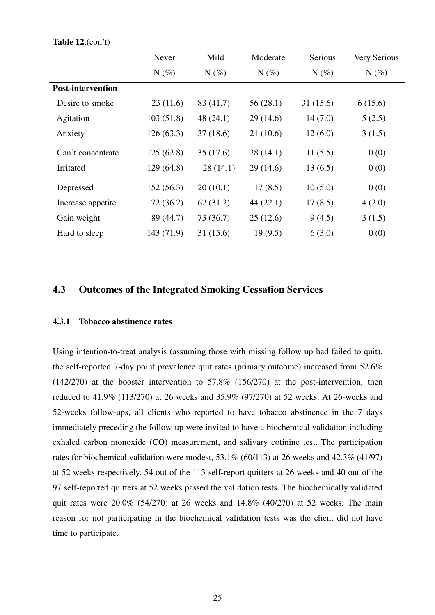#### **Table 12**.(con't)

|                          | Never      | Mild      | Moderate | Serious  | Very Serious |
|--------------------------|------------|-----------|----------|----------|--------------|
|                          | $N(\%)$    | $N(\%)$   | $N(\%)$  | $N(\%)$  | $N(\%)$      |
| <b>Post-intervention</b> |            |           |          |          |              |
| Desire to smoke          | 23(11.6)   | 83 (41.7) | 56(28.1) | 31(15.6) | 6(15.6)      |
| Agitation                | 103(51.8)  | 48(24.1)  | 29(14.6) | 14(7.0)  | 5(2.5)       |
| Anxiety                  | 126(63.3)  | 37(18.6)  | 21(10.6) | 12(6.0)  | 3(1.5)       |
| Can't concentrate        | 125(62.8)  | 35(17.6)  | 28(14.1) | 11(5.5)  | 0(0)         |
| Irritated                | 129(64.8)  | 28(14.1)  | 29(14.6) | 13(6.5)  | 0(0)         |
| Depressed                | 152(56.3)  | 20(10.1)  | 17(8.5)  | 10(5.0)  | 0(0)         |
| Increase appetite        | 72(36.2)   | 62(31.2)  | 44(22.1) | 17(8.5)  | 4(2.0)       |
| Gain weight              | 89 (44.7)  | 73 (36.7) | 25(12.6) | 9(4.5)   | 3(1.5)       |
| Hard to sleep            | 143 (71.9) | 31(15.6)  | 19(9.5)  | 6(3.0)   | 0(0)         |

### **4.3 Outcomes of the Integrated Smoking Cessation Services**

#### **4.3.1 Tobacco abstinence rates**

Using intention-to-treat analysis (assuming those with missing follow up had failed to quit), the self-reported 7-day point prevalence quit rates (primary outcome) increased from 52.6%  $(142/270)$  at the booster intervention to 57.8%  $(156/270)$  at the post-intervention, then reduced to 41.9% (113/270) at 26 weeks and 35.9% (97/270) at 52 weeks. At 26-weeks and 52-weeks follow-ups, all clients who reported to have tobacco abstinence in the 7 days immediately preceding the follow-up were invited to have a biochemical validation including exhaled carbon monoxide (CO) measurement, and salivary cotinine test. The participation rates for biochemical validation were modest, 53.1% (60/113) at 26 weeks and 42.3% (41/97) at 52 weeks respectively. 54 out of the 113 self-report quitters at 26 weeks and 40 out of the 97 self-reported quitters at 52 weeks passed the validation tests. The biochemically validated quit rates were 20.0% (54/270) at 26 weeks and 14.8% (40/270) at 52 weeks. The main reason for not participating in the biochemical validation tests was the client did not have time to participate.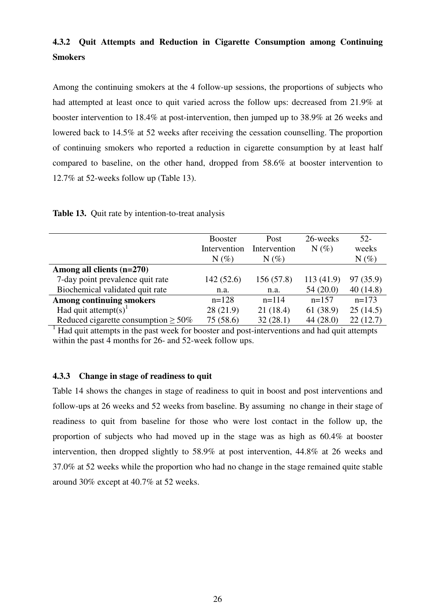# **4.3.2 Quit Attempts and Reduction in Cigarette Consumption among Continuing Smokers**

Among the continuing smokers at the 4 follow-up sessions, the proportions of subjects who had attempted at least once to quit varied across the follow ups: decreased from 21.9% at booster intervention to 18.4% at post-intervention, then jumped up to 38.9% at 26 weeks and lowered back to 14.5% at 52 weeks after receiving the cessation counselling. The proportion of continuing smokers who reported a reduction in cigarette consumption by at least half compared to baseline, on the other hand, dropped from 58.6% at booster intervention to 12.7% at 52-weeks follow up (Table 13).

|  |  | <b>Table 13.</b> Quit rate by intention-to-treat analysis |
|--|--|-----------------------------------------------------------|
|--|--|-----------------------------------------------------------|

|                                           | <b>Booster</b><br>Intervention<br>$N(\%)$ | Post<br>Intervention<br>$N(\%)$ | 26-weeks<br>$N(\%)$ | $52-$<br>weeks<br>$N(\%)$ |
|-------------------------------------------|-------------------------------------------|---------------------------------|---------------------|---------------------------|
| Among all clients $(n=270)$               |                                           |                                 |                     |                           |
| 7-day point prevalence quit rate          | 142(52.6)                                 | 156(57.8)                       | 113(41.9)           | 97 (35.9)                 |
| Biochemical validated quit rate           | n.a.                                      | n.a.                            | 54(20.0)            | 40(14.8)                  |
| <b>Among continuing smokers</b>           | $n=128$                                   | $n=114$                         | $n=157$             | $n=173$                   |
| Had quit attempt(s) <sup>1</sup>          | 28(21.9)                                  | 21 (18.4)                       | 61 (38.9)           | 25(14.5)                  |
| Reduced cigarette consumption $\geq 50\%$ | 75(58.6)                                  | 32(28.1)                        | 44(28.0)            | 22(12.7)                  |

<sup>1</sup> Had quit attempts in the past week for booster and post-interventions and had quit attempts within the past 4 months for 26- and 52-week follow ups.

#### **4.3.3 Change in stage of readiness to quit**

Table 14 shows the changes in stage of readiness to quit in boost and post interventions and follow-ups at 26 weeks and 52 weeks from baseline. By assuming no change in their stage of readiness to quit from baseline for those who were lost contact in the follow up, the proportion of subjects who had moved up in the stage was as high as 60.4% at booster intervention, then dropped slightly to 58.9% at post intervention, 44.8% at 26 weeks and 37.0% at 52 weeks while the proportion who had no change in the stage remained quite stable around 30% except at 40.7% at 52 weeks.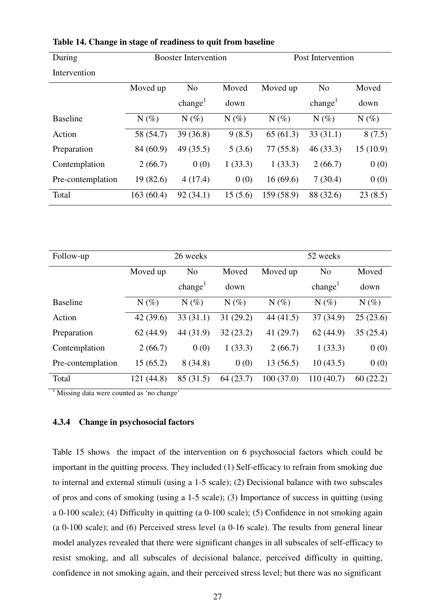| During            |           | <b>Booster Intervention</b>             |         |            | Post Intervention   |          |
|-------------------|-----------|-----------------------------------------|---------|------------|---------------------|----------|
| Intervention      |           |                                         |         |            |                     |          |
|                   | Moved up  | N <sub>o</sub>                          | Moved   | Moved up   | N <sub>o</sub>      | Moved    |
|                   |           | change <sup><math>\text{ }</math></sup> | down    |            | change <sup>1</sup> | down     |
| <b>Baseline</b>   | $N(\%)$   | $N(\%)$                                 | $N(\%)$ | $N(\%)$    | $N(\%)$             | $N(\%)$  |
| Action            | 58 (54.7) | 39(36.8)                                | 9(8.5)  | 65(61.3)   | 33(31.1)            | 8(7.5)   |
| Preparation       | 84 (60.9) | 49(35.5)                                | 5(3.6)  | 77(55.8)   | 46(33.3)            | 15(10.9) |
| Contemplation     | 2(66.7)   | 0(0)                                    | 1(33.3) | 1(33.3)    | 2(66.7)             | 0(0)     |
| Pre-contemplation | 19(82.6)  | 4(17.4)                                 | 0(0)    | 16(69.6)   | 7(30.4)             | 0(0)     |
| Total             | 163(60.4) | 92(34.1)                                | 15(5.6) | 159 (58.9) | 88 (32.6)           | 23(8.5)  |

**Table 14. Change in stage of readiness to quit from baseline** 

| Follow-up         |            | 26 weeks            |          |           | 52 weeks            |          |
|-------------------|------------|---------------------|----------|-----------|---------------------|----------|
|                   | Moved up   | N <sub>o</sub>      | Moved    | Moved up  | N <sub>o</sub>      | Moved    |
|                   |            | change <sup>1</sup> | down     |           | change <sup>1</sup> | down     |
| <b>Baseline</b>   | $N(\%)$    | $N(\%)$             | $N(\%)$  | $N(\%)$   | $N(\%)$             | $N(\%)$  |
| Action            | 42(39.6)   | 33(31.1)            | 31(29.2) | 44(41.5)  | 37(34.9)            | 25(23.6) |
| Preparation       | 62(44.9)   | 44 (31.9)           | 32(23.2) | 41(29.7)  | 62(44.9)            | 35(25.4) |
| Contemplation     | 2(66.7)    | 0(0)                | 1(33.3)  | 2(66.7)   | 1(33.3)             | 0(0)     |
| Pre-contemplation | 15(65.2)   | 8(34.8)             | 0(0)     | 13(56.5)  | 10(43.5)            | 0(0)     |
| Total             | 121 (44.8) | 85 (31.5)           | 64(23.7) | 100(37.0) | 110(40.7)           | 60(22.2) |

<sup>1</sup> Missing data were counted as 'no change'

#### **4.3.4 Change in psychosocial factors**

Table 15 shows the impact of the intervention on 6 psychosocial factors which could be important in the quitting process. They included (1) Self-efficacy to refrain from smoking due to internal and external stimuli (using a 1-5 scale); (2) Decisional balance with two subscales of pros and cons of smoking (using a 1-5 scale); (3) Importance of success in quitting (using a 0-100 scale); (4) Difficulty in quitting (a 0-100 scale); (5) Confidence in not smoking again (a 0-100 scale); and (6) Perceived stress level (a 0-16 scale). The results from general linear model analyzes revealed that there were significant changes in all subscales of self-efficacy to resist smoking, and all subscales of decisional balance, perceived difficulty in quitting, confidence in not smoking again, and their perceived stress level; but there was no significant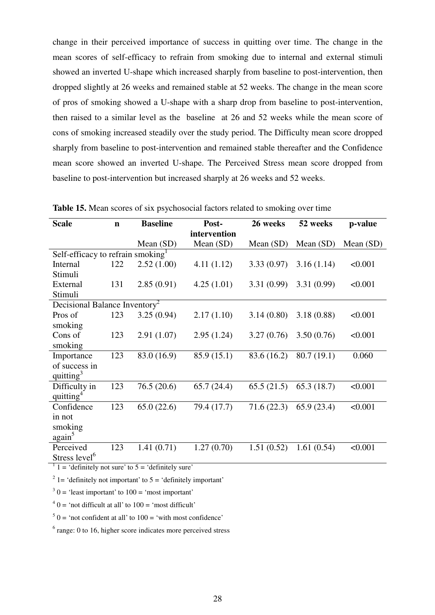change in their perceived importance of success in quitting over time. The change in the mean scores of self-efficacy to refrain from smoking due to internal and external stimuli showed an inverted U-shape which increased sharply from baseline to post-intervention, then dropped slightly at 26 weeks and remained stable at 52 weeks. The change in the mean score of pros of smoking showed a U-shape with a sharp drop from baseline to post-intervention, then raised to a similar level as the baseline at 26 and 52 weeks while the mean score of cons of smoking increased steadily over the study period. The Difficulty mean score dropped sharply from baseline to post-intervention and remained stable thereafter and the Confidence mean score showed an inverted U-shape. The Perceived Stress mean score dropped from baseline to post-intervention but increased sharply at 26 weeks and 52 weeks.

| <b>Scale</b>                              | $\mathbf n$ | <b>Baseline</b> | Post-        | 26 weeks    | 52 weeks    | p-value   |
|-------------------------------------------|-------------|-----------------|--------------|-------------|-------------|-----------|
|                                           |             |                 | intervention |             |             |           |
|                                           |             | Mean $(SD)$     | Mean (SD)    | Mean (SD)   | Mean $(SD)$ | Mean (SD) |
| Self-efficacy to refrain smoking          |             |                 |              |             |             |           |
| Internal                                  | 122         | 2.52(1.00)      | 4.11(1.12)   | 3.33(0.97)  | 3.16(1.14)  | < 0.001   |
| Stimuli                                   |             |                 |              |             |             |           |
| External                                  | 131         | 2.85(0.91)      | 4.25(1.01)   | 3.31(0.99)  | 3.31(0.99)  | < 0.001   |
| Stimuli                                   |             |                 |              |             |             |           |
| Decisional Balance Inventory <sup>2</sup> |             |                 |              |             |             |           |
| Pros of                                   | 123         | 3.25(0.94)      | 2.17(1.10)   | 3.14(0.80)  | 3.18(0.88)  | < 0.001   |
| smoking                                   |             |                 |              |             |             |           |
| Cons of                                   | 123         | 2.91(1.07)      | 2.95(1.24)   | 3.27(0.76)  | 3.50(0.76)  | < 0.001   |
| smoking                                   |             |                 |              |             |             |           |
| Importance                                | 123         | 83.0 (16.9)     | 85.9 (15.1)  | 83.6 (16.2) | 80.7(19.1)  | 0.060     |
| of success in                             |             |                 |              |             |             |           |
| quitting <sup>3</sup>                     |             |                 |              |             |             |           |
| Difficulty in                             | 123         | 76.5(20.6)      | 65.7(24.4)   | 65.5(21.5)  | 65.3(18.7)  | < 0.001   |
| quitting <sup>4</sup>                     |             |                 |              |             |             |           |
| Confidence                                | 123         | 65.0(22.6)      | 79.4 (17.7)  | 71.6(22.3)  | 65.9(23.4)  | < 0.001   |
| in not                                    |             |                 |              |             |             |           |
| smoking                                   |             |                 |              |             |             |           |
| again <sup>5</sup>                        |             |                 |              |             |             |           |
| Perceived                                 | 123         | 1.41(0.71)      | 1.27(0.70)   | 1.51(0.52)  | 1.61(0.54)  | < 0.001   |
| Stress level <sup>6</sup>                 |             |                 |              |             |             |           |

**Table 15.** Mean scores of six psychosocial factors related to smoking over time

 $1 = \text{definitely not sure' to } 5 = \text{definitely sure'}$ 

<sup>2</sup> 1 = 'definitely not important' to  $5$  = 'definitely important'

 $3<sup>3</sup>$  0 = 'least important' to 100 = 'most important'

 $4^4$  0 = 'not difficult at all' to 100 = 'most difficult'

 $5$  0 = 'not confident at all' to 100 = 'with most confidence'

 $6$  range: 0 to 16, higher score indicates more perceived stress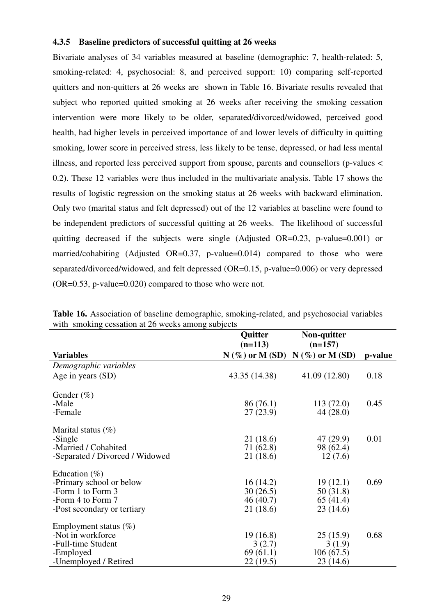#### **4.3.5 Baseline predictors of successful quitting at 26 weeks**

Bivariate analyses of 34 variables measured at baseline (demographic: 7, health-related: 5, smoking-related: 4, psychosocial: 8, and perceived support: 10) comparing self-reported quitters and non-quitters at 26 weeks are shown in Table 16. Bivariate results revealed that subject who reported quitted smoking at 26 weeks after receiving the smoking cessation intervention were more likely to be older, separated/divorced/widowed, perceived good health, had higher levels in perceived importance of and lower levels of difficulty in quitting smoking, lower score in perceived stress, less likely to be tense, depressed, or had less mental illness, and reported less perceived support from spouse, parents and counsellors (p-values < 0.2). These 12 variables were thus included in the multivariate analysis. Table 17 shows the results of logistic regression on the smoking status at 26 weeks with backward elimination. Only two (marital status and felt depressed) out of the 12 variables at baseline were found to be independent predictors of successful quitting at 26 weeks. The likelihood of successful quitting decreased if the subjects were single (Adjusted OR=0.23, p-value=0.001) or married/cohabiting (Adjusted  $OR=0.37$ , p-value=0.014) compared to those who were separated/divorced/widowed, and felt depressed (OR=0.15, p-value=0.006) or very depressed (OR=0.53, p-value=0.020) compared to those who were not.

|                                 | Quitter           | Non-quitter       |         |
|---------------------------------|-------------------|-------------------|---------|
|                                 | $(n=113)$         | $(n=157)$         |         |
| <b>Variables</b>                | $N$ (%) or M (SD) | $N$ (%) or M (SD) | p-value |
| Demographic variables           |                   |                   |         |
| Age in years (SD)               | 43.35 (14.38)     | 41.09 (12.80)     | 0.18    |
| Gender $(\%)$                   |                   |                   |         |
| -Male                           | 86 (76.1)         | 113(72.0)         | 0.45    |
| -Female                         | 27(23.9)          | 44 (28.0)         |         |
| Marital status $(\%)$           |                   |                   |         |
| -Single                         | 21 (18.6)         | 47 (29.9)         | 0.01    |
| -Married / Cohabited            | 71 (62.8)         | 98 (62.4)         |         |
| -Separated / Divorced / Widowed | 21 (18.6)         | 12(7.6)           |         |
| Education $(\%)$                |                   |                   |         |
| -Primary school or below        | 16(14.2)          | 19(12.1)          | 0.69    |
| -Form 1 to Form 3               | 30(26.5)          | 50 (31.8)         |         |
| -Form 4 to Form 7               | 46(40.7)          | 65(41.4)          |         |
| -Post secondary or tertiary     | 21 (18.6)         | 23(14.6)          |         |
| Employment status $(\%)$        |                   |                   |         |
| -Not in workforce               | 19(16.8)          | 25(15.9)          | 0.68    |
| -Full-time Student              | 3(2.7)            | 3(1.9)            |         |
| -Employed                       | 69(61.1)          | 106(67.5)         |         |
| -Unemployed / Retired           | 22(19.5)          | 23(14.6)          |         |

**Table 16.** Association of baseline demographic, smoking-related, and psychosocial variables with smoking cessation at 26 weeks among subjects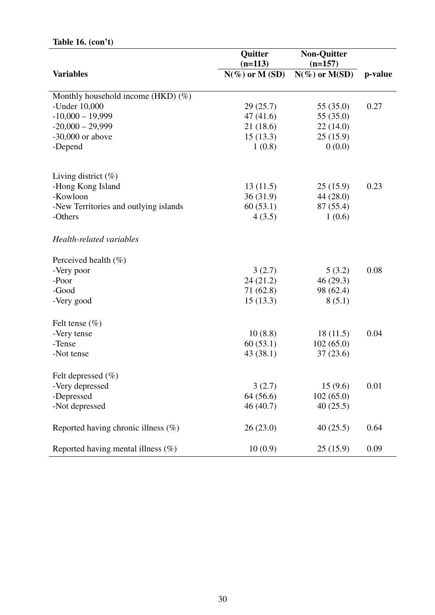### **Table 16. (con't)**

|                                        | Quitter<br>$(n=113)$ | <b>Non-Quitter</b>              |         |
|----------------------------------------|----------------------|---------------------------------|---------|
| <b>Variables</b>                       | $N(\%)$ or M (SD)    | $(n=157)$<br>$N(\%)$ or $M(SD)$ | p-value |
|                                        |                      |                                 |         |
| Monthly household income (HKD) $(\%)$  |                      |                                 |         |
| -Under 10,000                          | 29(25.7)             | 55 (35.0)                       | 0.27    |
| $-10,000 - 19,999$                     | 47(41.6)             | 55 (35.0)                       |         |
| $-20,000 - 29,999$                     | 21(18.6)             | 22(14.0)                        |         |
| $-30,000$ or above                     | 15(13.3)             | 25(15.9)                        |         |
| -Depend                                | 1(0.8)               | 0(0.0)                          |         |
|                                        |                      |                                 |         |
| Living district $(\%)$                 |                      |                                 |         |
| -Hong Kong Island                      | 13(11.5)             | 25(15.9)                        | 0.23    |
| -Kowloon                               | 36(31.9)             | 44 (28.0)                       |         |
| -New Territories and outlying islands  | 60(53.1)             | 87 (55.4)                       |         |
| -Others                                | 4(3.5)               | 1(0.6)                          |         |
| Health-related variables               |                      |                                 |         |
| Perceived health $(\%)$                |                      |                                 |         |
| -Very poor                             | 3(2.7)               | 5(3.2)                          | 0.08    |
| -Poor                                  | 24(21.2)             | 46(29.3)                        |         |
| -Good                                  | 71 (62.8)            | 98 (62.4)                       |         |
| -Very good                             | 15(13.3)             | 8(5.1)                          |         |
| Felt tense $(\% )$                     |                      |                                 |         |
| -Very tense                            | 10(8.8)              | 18(11.5)                        | 0.04    |
| -Tense                                 | 60(53.1)             | 102(65.0)                       |         |
| -Not tense                             | 43 (38.1)            | 37(23.6)                        |         |
| Felt depressed $(\% )$                 |                      |                                 |         |
| -Very depressed                        | 3(2.7)               | 15(9.6)                         | 0.01    |
| -Depressed                             | 64 (56.6)            | 102(65.0)                       |         |
| -Not depressed                         | 46 (40.7)            | 40(25.5)                        |         |
|                                        |                      |                                 |         |
| Reported having chronic illness $(\%)$ | 26(23.0)             | 40(25.5)                        | 0.64    |
| Reported having mental illness $(\%)$  | 10(0.9)              | 25(15.9)                        | 0.09    |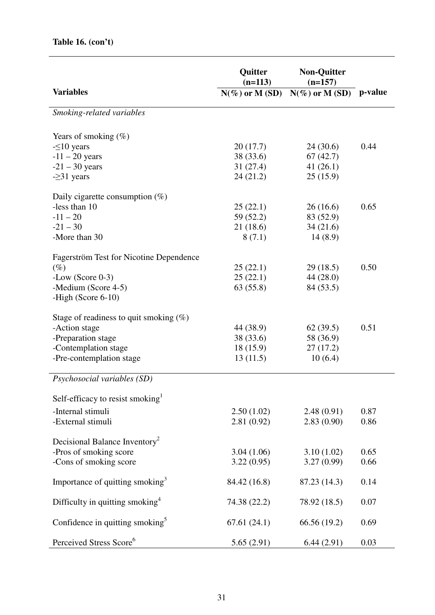|                                                | Quitter<br>$(n=113)$ | <b>Non-Quitter</b><br>$(n=157)$ |         |
|------------------------------------------------|----------------------|---------------------------------|---------|
| <b>Variables</b>                               | $N(\%)$ or M (SD)    | $N(\%)$ or M (SD)               | p-value |
| Smoking-related variables                      |                      |                                 |         |
| Years of smoking $(\%)$                        |                      |                                 |         |
| $-510$ years                                   | 20(17.7)             | 24(30.6)                        | 0.44    |
| $-11 - 20$ years                               | 38 (33.6)            | 67(42.7)                        |         |
| $-21 - 30$ years                               | 31(27.4)             | 41(26.1)                        |         |
| $-231$ years                                   | 24(21.2)             | 25(15.9)                        |         |
| Daily cigarette consumption $(\%)$             |                      |                                 |         |
| -less than 10                                  | 25(22.1)             | 26(16.6)                        | 0.65    |
| $-11 - 20$                                     | 59 (52.2)            | 83 (52.9)                       |         |
| $-21 - 30$                                     | 21(18.6)             | 34(21.6)                        |         |
| -More than 30                                  | 8(7.1)               | 14(8.9)                         |         |
| <b>Fagerström Test for Nicotine Dependence</b> |                      |                                 |         |
| $(\%)$                                         | 25(22.1)             | 29(18.5)                        | 0.50    |
| $-Low$ (Score 0-3)                             | 25(22.1)             | 44(28.0)                        |         |
| -Medium (Score 4-5)                            | 63(55.8)             | 84 (53.5)                       |         |
| -High (Score $6-10$ )                          |                      |                                 |         |
| Stage of readiness to quit smoking $(\%)$      |                      |                                 |         |
| -Action stage                                  | 44 (38.9)            | 62(39.5)                        | 0.51    |
| -Preparation stage                             | 38 (33.6)            | 58 (36.9)                       |         |
| -Contemplation stage                           | 18(15.9)             | 27(17.2)                        |         |
| -Pre-contemplation stage                       | 13(11.5)             | 10(6.4)                         |         |
| Psychosocial variables (SD)                    |                      |                                 |         |
| Self-efficacy to resist smoking                |                      |                                 |         |
| -Internal stimuli                              | 2.50(1.02)           | 2.48(0.91)                      | 0.87    |
| -External stimuli                              | 2.81(0.92)           | 2.83(0.90)                      | 0.86    |
|                                                |                      |                                 |         |
| Decisional Balance Inventory <sup>2</sup>      |                      |                                 |         |
| -Pros of smoking score                         | 3.04(1.06)           | 3.10(1.02)                      | 0.65    |
| -Cons of smoking score                         | 3.22(0.95)           | 3.27(0.99)                      | 0.66    |
| Importance of quitting smoking <sup>3</sup>    | 84.42 (16.8)         | 87.23 (14.3)                    | 0.14    |
| Difficulty in quitting smoking <sup>4</sup>    | 74.38 (22.2)         | 78.92 (18.5)                    | 0.07    |
| Confidence in quitting smoking <sup>5</sup>    | 67.61(24.1)          | 66.56 (19.2)                    | 0.69    |
| Perceived Stress Score <sup>6</sup>            | 5.65(2.91)           | 6.44(2.91)                      | 0.03    |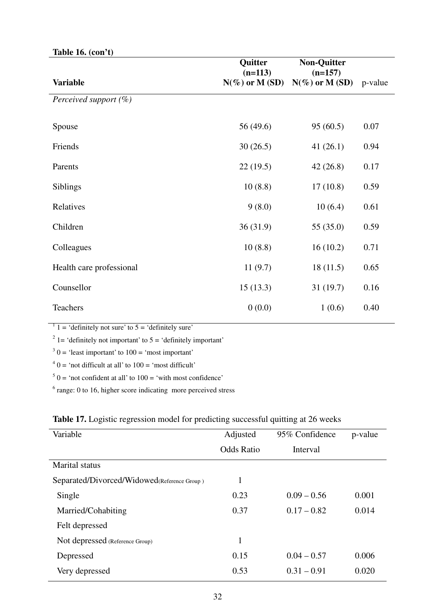| 14010 10. (COII <i>V</i> |                      |                                 |         |
|--------------------------|----------------------|---------------------------------|---------|
| <b>Variable</b>          | Quitter<br>$(n=113)$ | <b>Non-Quitter</b><br>$(n=157)$ |         |
|                          | $N(\%)$ or M (SD)    | $N(\%)$ or M (SD)               | p-value |
| Perceived support (%)    |                      |                                 |         |
| Spouse                   | 56 (49.6)            | 95(60.5)                        | 0.07    |
| Friends                  | 30(26.5)             | 41(26.1)                        | 0.94    |
| Parents                  | 22(19.5)             | 42(26.8)                        | 0.17    |
| Siblings                 | 10(8.8)              | 17(10.8)                        | 0.59    |
| Relatives                | 9(8.0)               | 10(6.4)                         | 0.61    |
| Children                 | 36(31.9)             | 55 (35.0)                       | 0.59    |
| Colleagues               | 10(8.8)              | 16(10.2)                        | 0.71    |
| Health care professional | 11(9.7)              | 18(11.5)                        | 0.65    |
| Counsellor               | 15(13.3)             | 31(19.7)                        | 0.16    |
| Teachers                 | 0(0.0)               | 1(0.6)                          | 0.40    |

**Table 16. (con't)**

 $1 = \text{definitely not sure' to } 5 = \text{definitely sure'}$ 

<sup>2</sup> 1 = 'definitely not important' to  $5$  = 'definitely important'

 $3<sup>3</sup>$  0 = 'least important' to 100 = 'most important'

 $4^4$  0 = 'not difficult at all' to 100 = 'most difficult'

 $5$  0 = 'not confident at all' to 100 = 'with most confidence'

<sup>6</sup> range: 0 to 16, higher score indicating more perceived stress

| Variable                                    | Adjusted          | 95% Confidence | p-value |
|---------------------------------------------|-------------------|----------------|---------|
|                                             | <b>Odds Ratio</b> | Interval       |         |
| <b>Marital</b> status                       |                   |                |         |
| Separated/Divorced/Widowed(Reference Group) | 1                 |                |         |
| Single                                      | 0.23              | $0.09 - 0.56$  | 0.001   |
| Married/Cohabiting                          | 0.37              | $0.17 - 0.82$  | 0.014   |
| Felt depressed                              |                   |                |         |
| Not depressed (Reference Group)             | 1                 |                |         |
| Depressed                                   | 0.15              | $0.04 - 0.57$  | 0.006   |
| Very depressed                              | 0.53              | $0.31 - 0.91$  | 0.020   |

## **Table 17.** Logistic regression model for predicting successful quitting at 26 weeks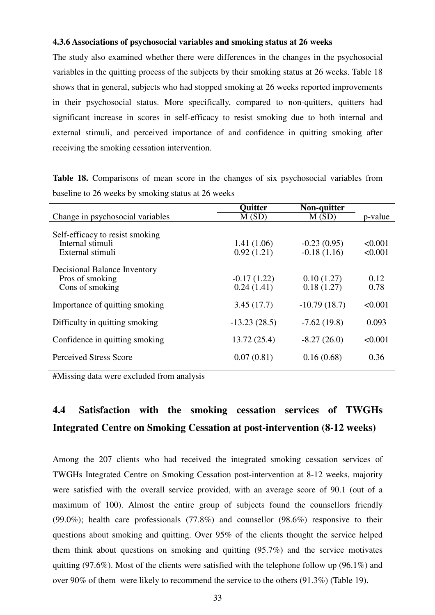#### **4.3.6 Associations of psychosocial variables and smoking status at 26 weeks**

The study also examined whether there were differences in the changes in the psychosocial variables in the quitting process of the subjects by their smoking status at 26 weeks. Table 18 shows that in general, subjects who had stopped smoking at 26 weeks reported improvements in their psychosocial status. More specifically, compared to non-quitters, quitters had significant increase in scores in self-efficacy to resist smoking due to both internal and external stimuli, and perceived importance of and confidence in quitting smoking after receiving the smoking cessation intervention.

Table 18. Comparisons of mean score in the changes of six psychosocial variables from baseline to 26 weeks by smoking status at 26 weeks

|                                                                         | <b>Ouitter</b>              | Non-quitter                    |                    |
|-------------------------------------------------------------------------|-----------------------------|--------------------------------|--------------------|
| Change in psychosocial variables                                        | M(SD)                       | M(SD)                          | p-value            |
| Self-efficacy to resist smoking<br>Internal stimuli<br>External stimuli | 1.41(1.06)<br>0.92(1.21)    | $-0.23(0.95)$<br>$-0.18(1.16)$ | < 0.001<br>< 0.001 |
| Decisional Balance Inventory<br>Pros of smoking<br>Cons of smoking      | $-0.17(1.22)$<br>0.24(1.41) | 0.10(1.27)<br>0.18(1.27)       | 0.12<br>0.78       |
| Importance of quitting smoking                                          | 3.45(17.7)                  | $-10.79(18.7)$                 | < 0.001            |
| Difficulty in quitting smoking                                          | $-13.23(28.5)$              | $-7.62(19.8)$                  | 0.093              |
| Confidence in quitting smoking                                          | 13.72(25.4)                 | $-8.27(26.0)$                  | < 0.001            |
| Perceived Stress Score                                                  | 0.07(0.81)                  | 0.16(0.68)                     | 0.36               |
|                                                                         |                             |                                |                    |

#Missing data were excluded from analysis

# **4.4 Satisfaction with the smoking cessation services of TWGHs Integrated Centre on Smoking Cessation at post-intervention (8-12 weeks)**

Among the 207 clients who had received the integrated smoking cessation services of TWGHs Integrated Centre on Smoking Cessation post-intervention at 8-12 weeks, majority were satisfied with the overall service provided, with an average score of 90.1 (out of a maximum of 100). Almost the entire group of subjects found the counsellors friendly (99.0%); health care professionals (77.8%) and counsellor (98.6%) responsive to their questions about smoking and quitting. Over 95% of the clients thought the service helped them think about questions on smoking and quitting (95.7%) and the service motivates quitting (97.6%). Most of the clients were satisfied with the telephone follow up (96.1%) and over 90% of them were likely to recommend the service to the others (91.3%) (Table 19).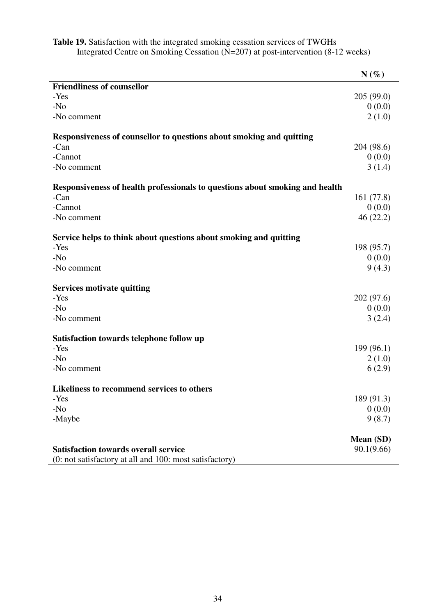|                                                                              | $N(\%)$    |
|------------------------------------------------------------------------------|------------|
| <b>Friendliness of counsellor</b>                                            |            |
| -Yes                                                                         | 205(99.0)  |
| $-N0$                                                                        | 0(0.0)     |
| -No comment                                                                  | 2(1.0)     |
| Responsiveness of counsellor to questions about smoking and quitting         |            |
| -Can                                                                         | 204 (98.6) |
| -Cannot                                                                      | 0(0.0)     |
| -No comment                                                                  | 3(1.4)     |
| Responsiveness of health professionals to questions about smoking and health |            |
| -Can                                                                         | 161(77.8)  |
| -Cannot                                                                      | 0(0.0)     |
| -No comment                                                                  | 46(22.2)   |
| Service helps to think about questions about smoking and quitting            |            |
| -Yes                                                                         | 198 (95.7) |
| $-N0$                                                                        | 0(0.0)     |
| -No comment                                                                  | 9(4.3)     |
| <b>Services motivate quitting</b>                                            |            |
| -Yes                                                                         | 202(97.6)  |
| $-N0$                                                                        | 0(0.0)     |
| -No comment                                                                  | 3(2.4)     |
| Satisfaction towards telephone follow up                                     |            |
| -Yes                                                                         | 199(96.1)  |
| $-N0$                                                                        | 2(1.0)     |
| -No comment                                                                  | 6(2.9)     |
| Likeliness to recommend services to others                                   |            |
| -Yes                                                                         | 189 (91.3) |
| $-N0$                                                                        | 0(0.0)     |
| -Maybe                                                                       | 9(8.7)     |
|                                                                              | Mean (SD)  |
| <b>Satisfaction towards overall service</b>                                  | 90.1(9.66) |
| (0: not satisfactory at all and 100: most satisfactory)                      |            |

**Table 19.** Satisfaction with the integrated smoking cessation services of TWGHs Integrated Centre on Smoking Cessation (N=207) at post-intervention (8-12 weeks)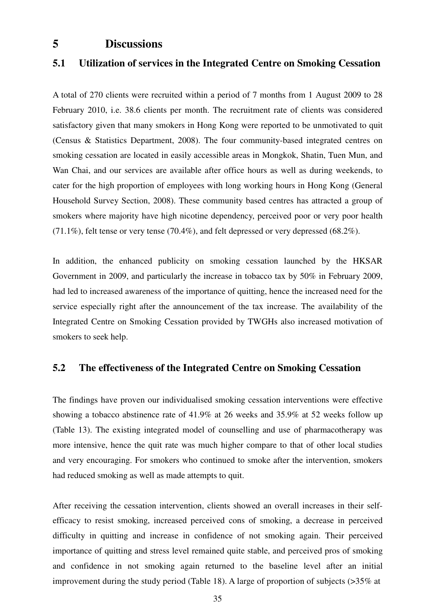## **5 Discussions**

## **5.1 Utilization of services in the Integrated Centre on Smoking Cessation**

A total of 270 clients were recruited within a period of 7 months from 1 August 2009 to 28 February 2010, i.e. 38.6 clients per month. The recruitment rate of clients was considered satisfactory given that many smokers in Hong Kong were reported to be unmotivated to quit (Census & Statistics Department, 2008). The four community-based integrated centres on smoking cessation are located in easily accessible areas in Mongkok, Shatin, Tuen Mun, and Wan Chai, and our services are available after office hours as well as during weekends, to cater for the high proportion of employees with long working hours in Hong Kong (General Household Survey Section, 2008). These community based centres has attracted a group of smokers where majority have high nicotine dependency, perceived poor or very poor health (71.1%), felt tense or very tense (70.4%), and felt depressed or very depressed (68.2%).

In addition, the enhanced publicity on smoking cessation launched by the HKSAR Government in 2009, and particularly the increase in tobacco tax by 50% in February 2009, had led to increased awareness of the importance of quitting, hence the increased need for the service especially right after the announcement of the tax increase. The availability of the Integrated Centre on Smoking Cessation provided by TWGHs also increased motivation of smokers to seek help.

### **5.2 The effectiveness of the Integrated Centre on Smoking Cessation**

The findings have proven our individualised smoking cessation interventions were effective showing a tobacco abstinence rate of 41.9% at 26 weeks and 35.9% at 52 weeks follow up (Table 13). The existing integrated model of counselling and use of pharmacotherapy was more intensive, hence the quit rate was much higher compare to that of other local studies and very encouraging. For smokers who continued to smoke after the intervention, smokers had reduced smoking as well as made attempts to quit.

After receiving the cessation intervention, clients showed an overall increases in their selfefficacy to resist smoking, increased perceived cons of smoking, a decrease in perceived difficulty in quitting and increase in confidence of not smoking again. Their perceived importance of quitting and stress level remained quite stable, and perceived pros of smoking and confidence in not smoking again returned to the baseline level after an initial improvement during the study period (Table 18). A large of proportion of subjects (>35% at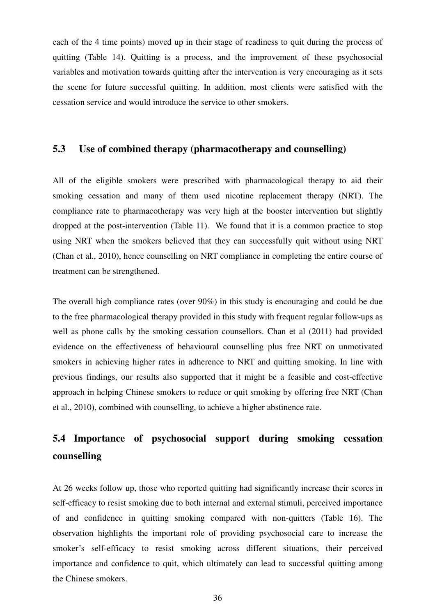each of the 4 time points) moved up in their stage of readiness to quit during the process of quitting (Table 14). Quitting is a process, and the improvement of these psychosocial variables and motivation towards quitting after the intervention is very encouraging as it sets the scene for future successful quitting. In addition, most clients were satisfied with the cessation service and would introduce the service to other smokers.

# **5.3 Use of combined therapy (pharmacotherapy and counselling)**

All of the eligible smokers were prescribed with pharmacological therapy to aid their smoking cessation and many of them used nicotine replacement therapy (NRT). The compliance rate to pharmacotherapy was very high at the booster intervention but slightly dropped at the post-intervention (Table 11). We found that it is a common practice to stop using NRT when the smokers believed that they can successfully quit without using NRT (Chan et al., 2010), hence counselling on NRT compliance in completing the entire course of treatment can be strengthened.

The overall high compliance rates (over 90%) in this study is encouraging and could be due to the free pharmacological therapy provided in this study with frequent regular follow-ups as well as phone calls by the smoking cessation counsellors. Chan et al (2011) had provided evidence on the effectiveness of behavioural counselling plus free NRT on unmotivated smokers in achieving higher rates in adherence to NRT and quitting smoking. In line with previous findings, our results also supported that it might be a feasible and cost-effective approach in helping Chinese smokers to reduce or quit smoking by offering free NRT (Chan et al., 2010), combined with counselling, to achieve a higher abstinence rate.

# **5.4 Importance of psychosocial support during smoking cessation counselling**

At 26 weeks follow up, those who reported quitting had significantly increase their scores in self-efficacy to resist smoking due to both internal and external stimuli, perceived importance of and confidence in quitting smoking compared with non-quitters (Table 16). The observation highlights the important role of providing psychosocial care to increase the smoker's self-efficacy to resist smoking across different situations, their perceived importance and confidence to quit, which ultimately can lead to successful quitting among the Chinese smokers.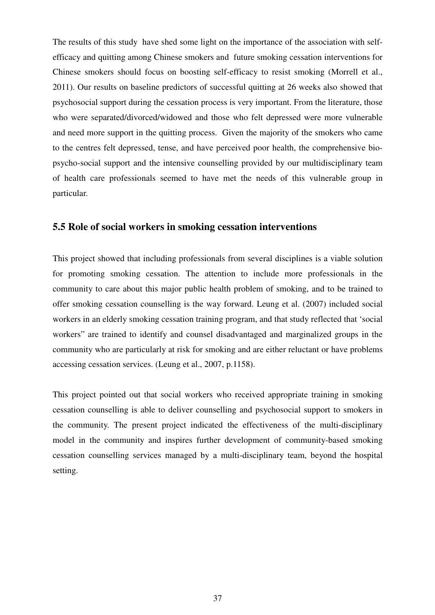The results of this study have shed some light on the importance of the association with selfefficacy and quitting among Chinese smokers and future smoking cessation interventions for Chinese smokers should focus on boosting self-efficacy to resist smoking (Morrell et al., 2011). Our results on baseline predictors of successful quitting at 26 weeks also showed that psychosocial support during the cessation process is very important. From the literature, those who were separated/divorced/widowed and those who felt depressed were more vulnerable and need more support in the quitting process. Given the majority of the smokers who came to the centres felt depressed, tense, and have perceived poor health, the comprehensive biopsycho-social support and the intensive counselling provided by our multidisciplinary team of health care professionals seemed to have met the needs of this vulnerable group in particular.

#### **5.5 Role of social workers in smoking cessation interventions**

This project showed that including professionals from several disciplines is a viable solution for promoting smoking cessation. The attention to include more professionals in the community to care about this major public health problem of smoking, and to be trained to offer smoking cessation counselling is the way forward. Leung et al. (2007) included social workers in an elderly smoking cessation training program, and that study reflected that 'social workers" are trained to identify and counsel disadvantaged and marginalized groups in the community who are particularly at risk for smoking and are either reluctant or have problems accessing cessation services. (Leung et al., 2007, p.1158).

This project pointed out that social workers who received appropriate training in smoking cessation counselling is able to deliver counselling and psychosocial support to smokers in the community. The present project indicated the effectiveness of the multi-disciplinary model in the community and inspires further development of community-based smoking cessation counselling services managed by a multi-disciplinary team, beyond the hospital setting.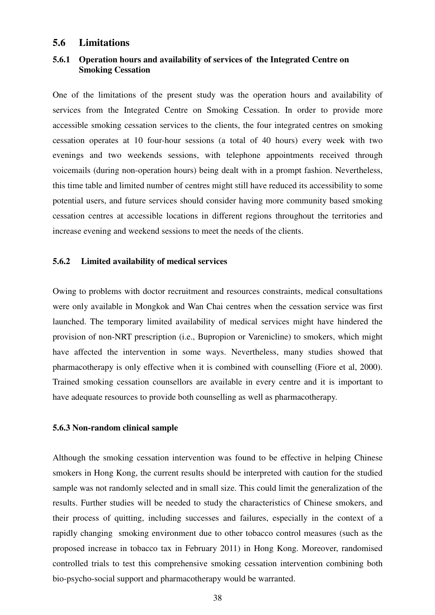#### **5.6 Limitations**

#### **5.6.1 Operation hours and availability of services of the Integrated Centre on Smoking Cessation**

One of the limitations of the present study was the operation hours and availability of services from the Integrated Centre on Smoking Cessation. In order to provide more accessible smoking cessation services to the clients, the four integrated centres on smoking cessation operates at 10 four-hour sessions (a total of 40 hours) every week with two evenings and two weekends sessions, with telephone appointments received through voicemails (during non-operation hours) being dealt with in a prompt fashion. Nevertheless, this time table and limited number of centres might still have reduced its accessibility to some potential users, and future services should consider having more community based smoking cessation centres at accessible locations in different regions throughout the territories and increase evening and weekend sessions to meet the needs of the clients.

#### **5.6.2 Limited availability of medical services**

Owing to problems with doctor recruitment and resources constraints, medical consultations were only available in Mongkok and Wan Chai centres when the cessation service was first launched. The temporary limited availability of medical services might have hindered the provision of non-NRT prescription (i.e., Bupropion or Varenicline) to smokers, which might have affected the intervention in some ways. Nevertheless, many studies showed that pharmacotherapy is only effective when it is combined with counselling (Fiore et al, 2000). Trained smoking cessation counsellors are available in every centre and it is important to have adequate resources to provide both counselling as well as pharmacotherapy.

#### **5.6.3 Non-random clinical sample**

Although the smoking cessation intervention was found to be effective in helping Chinese smokers in Hong Kong, the current results should be interpreted with caution for the studied sample was not randomly selected and in small size. This could limit the generalization of the results. Further studies will be needed to study the characteristics of Chinese smokers, and their process of quitting, including successes and failures, especially in the context of a rapidly changing smoking environment due to other tobacco control measures (such as the proposed increase in tobacco tax in February 2011) in Hong Kong. Moreover, randomised controlled trials to test this comprehensive smoking cessation intervention combining both bio-psycho-social support and pharmacotherapy would be warranted.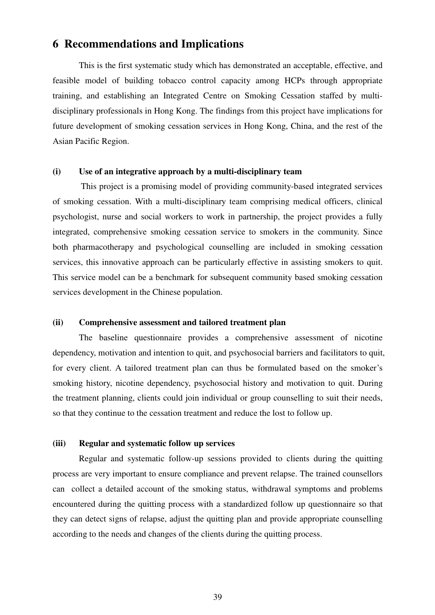# **6 Recommendations and Implications**

This is the first systematic study which has demonstrated an acceptable, effective, and feasible model of building tobacco control capacity among HCPs through appropriate training, and establishing an Integrated Centre on Smoking Cessation staffed by multidisciplinary professionals in Hong Kong. The findings from this project have implications for future development of smoking cessation services in Hong Kong, China, and the rest of the Asian Pacific Region.

#### **(i) Use of an integrative approach by a multi-disciplinary team**

 This project is a promising model of providing community-based integrated services of smoking cessation. With a multi-disciplinary team comprising medical officers, clinical psychologist, nurse and social workers to work in partnership, the project provides a fully integrated, comprehensive smoking cessation service to smokers in the community. Since both pharmacotherapy and psychological counselling are included in smoking cessation services, this innovative approach can be particularly effective in assisting smokers to quit. This service model can be a benchmark for subsequent community based smoking cessation services development in the Chinese population.

#### **(ii) Comprehensive assessment and tailored treatment plan**

The baseline questionnaire provides a comprehensive assessment of nicotine dependency, motivation and intention to quit, and psychosocial barriers and facilitators to quit, for every client. A tailored treatment plan can thus be formulated based on the smoker's smoking history, nicotine dependency, psychosocial history and motivation to quit. During the treatment planning, clients could join individual or group counselling to suit their needs, so that they continue to the cessation treatment and reduce the lost to follow up.

#### **(iii) Regular and systematic follow up services**

Regular and systematic follow-up sessions provided to clients during the quitting process are very important to ensure compliance and prevent relapse. The trained counsellors can collect a detailed account of the smoking status, withdrawal symptoms and problems encountered during the quitting process with a standardized follow up questionnaire so that they can detect signs of relapse, adjust the quitting plan and provide appropriate counselling according to the needs and changes of the clients during the quitting process.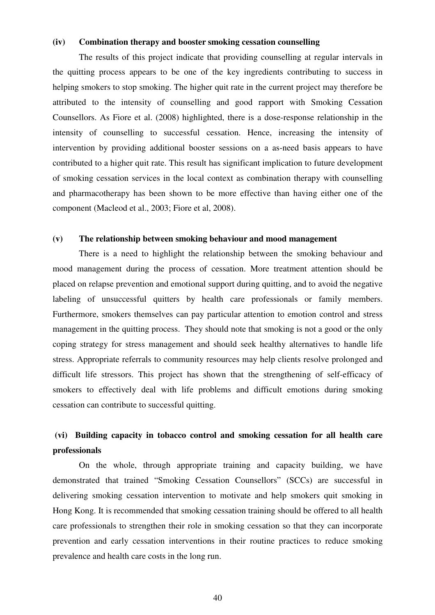#### **(iv) Combination therapy and booster smoking cessation counselling**

The results of this project indicate that providing counselling at regular intervals in the quitting process appears to be one of the key ingredients contributing to success in helping smokers to stop smoking. The higher quit rate in the current project may therefore be attributed to the intensity of counselling and good rapport with Smoking Cessation Counsellors. As Fiore et al. (2008) highlighted, there is a dose-response relationship in the intensity of counselling to successful cessation. Hence, increasing the intensity of intervention by providing additional booster sessions on a as-need basis appears to have contributed to a higher quit rate. This result has significant implication to future development of smoking cessation services in the local context as combination therapy with counselling and pharmacotherapy has been shown to be more effective than having either one of the component (Macleod et al., 2003; Fiore et al, 2008).

#### **(v) The relationship between smoking behaviour and mood management**

There is a need to highlight the relationship between the smoking behaviour and mood management during the process of cessation. More treatment attention should be placed on relapse prevention and emotional support during quitting, and to avoid the negative labeling of unsuccessful quitters by health care professionals or family members. Furthermore, smokers themselves can pay particular attention to emotion control and stress management in the quitting process. They should note that smoking is not a good or the only coping strategy for stress management and should seek healthy alternatives to handle life stress. Appropriate referrals to community resources may help clients resolve prolonged and difficult life stressors. This project has shown that the strengthening of self-efficacy of smokers to effectively deal with life problems and difficult emotions during smoking cessation can contribute to successful quitting.

# **(vi) Building capacity in tobacco control and smoking cessation for all health care professionals**

 On the whole, through appropriate training and capacity building, we have demonstrated that trained "Smoking Cessation Counsellors" (SCCs) are successful in delivering smoking cessation intervention to motivate and help smokers quit smoking in Hong Kong. It is recommended that smoking cessation training should be offered to all health care professionals to strengthen their role in smoking cessation so that they can incorporate prevention and early cessation interventions in their routine practices to reduce smoking prevalence and health care costs in the long run.

40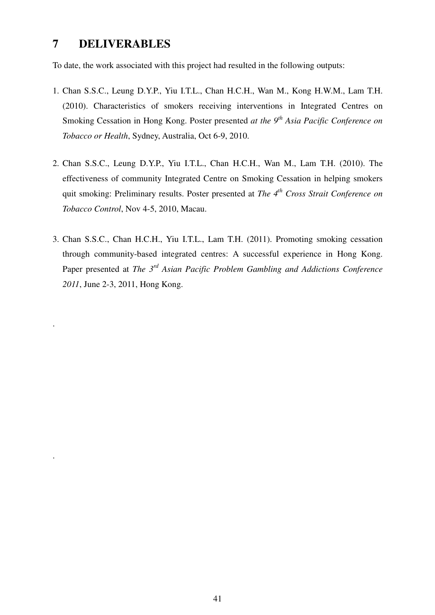# **7 DELIVERABLES**

.

.

To date, the work associated with this project had resulted in the following outputs:

- 1. Chan S.S.C., Leung D.Y.P., Yiu I.T.L., Chan H.C.H., Wan M., Kong H.W.M., Lam T.H. (2010). Characteristics of smokers receiving interventions in Integrated Centres on Smoking Cessation in Hong Kong. Poster presented *at the 9th Asia Pacific Conference on Tobacco or Health*, Sydney, Australia, Oct 6-9, 2010.
- 2. Chan S.S.C., Leung D.Y.P., Yiu I.T.L., Chan H.C.H., Wan M., Lam T.H. (2010). The effectiveness of community Integrated Centre on Smoking Cessation in helping smokers quit smoking: Preliminary results. Poster presented at *The 4th Cross Strait Conference on Tobacco Control*, Nov 4-5, 2010, Macau.
- 3. Chan S.S.C., Chan H.C.H., Yiu I.T.L., Lam T.H. (2011). Promoting smoking cessation through community-based integrated centres: A successful experience in Hong Kong. Paper presented at *The 3rd Asian Pacific Problem Gambling and Addictions Conference 2011*, June 2-3, 2011, Hong Kong.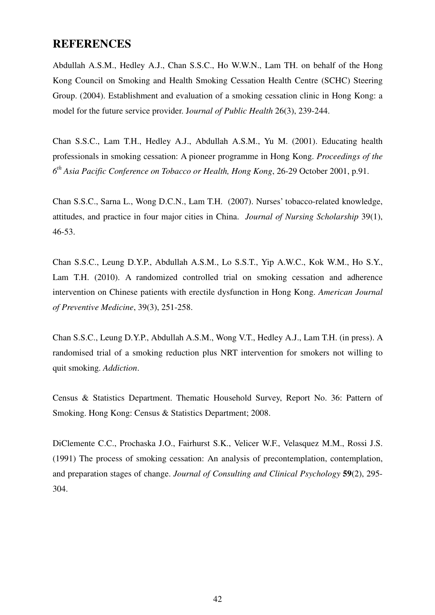## **REFERENCES**

Abdullah A.S.M., Hedley A.J., Chan S.S.C., Ho W.W.N., Lam TH. on behalf of the Hong Kong Council on Smoking and Health Smoking Cessation Health Centre (SCHC) Steering Group. (2004). Establishment and evaluation of a smoking cessation clinic in Hong Kong: a model for the future service provider. J*ournal of Public Health* 26(3), 239-244.

Chan S.S.C., Lam T.H., Hedley A.J., Abdullah A.S.M., Yu M. (2001). Educating health professionals in smoking cessation: A pioneer programme in Hong Kong. *Proceedings of the 6 th Asia Pacific Conference on Tobacco or Health, Hong Kong*, 26-29 October 2001, p.91.

Chan S.S.C., Sarna L., Wong D.C.N., Lam T.H. (2007). Nurses' tobacco-related knowledge, attitudes, and practice in four major cities in China. *Journal of Nursing Scholarship* 39(1), 46-53.

Chan S.S.C., Leung D.Y.P., Abdullah A.S.M., Lo S.S.T., Yip A.W.C., Kok W.M., Ho S.Y., Lam T.H. (2010). A randomized controlled trial on smoking cessation and adherence intervention on Chinese patients with erectile dysfunction in Hong Kong. *American Journal of Preventive Medicine*, 39(3), 251-258.

Chan S.S.C., Leung D.Y.P., Abdullah A.S.M., Wong V.T., Hedley A.J., Lam T.H. (in press). A randomised trial of a smoking reduction plus NRT intervention for smokers not willing to quit smoking. *Addiction*.

Census & Statistics Department. Thematic Household Survey, Report No. 36: Pattern of Smoking. Hong Kong: Census & Statistics Department; 2008.

DiClemente C.C., Prochaska J.O., Fairhurst S.K., Velicer W.F., Velasquez M.M., Rossi J.S. (1991) The process of smoking cessation: An analysis of precontemplation, contemplation, and preparation stages of change. *Journal of Consulting and Clinical Psychology* **59**(2), 295- 304.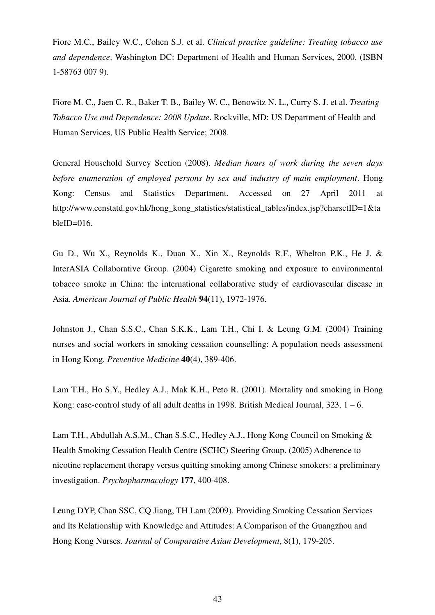Fiore M.C., Bailey W.C., Cohen S.J. et al. *Clinical practice guideline: Treating tobacco use and dependence*. Washington DC: Department of Health and Human Services, 2000. (ISBN 1-58763 007 9).

Fiore M. C., Jaen C. R., Baker T. B., Bailey W. C., Benowitz N. L., Curry S. J. et al. *Treating Tobacco Use and Dependence: 2008 Update*. Rockville, MD: US Department of Health and Human Services, US Public Health Service; 2008.

General Household Survey Section (2008). *Median hours of work during the seven days before enumeration of employed persons by sex and industry of main employment*. Hong Kong: Census and Statistics Department. Accessed on 27 April 2011 at http://www.censtatd.gov.hk/hong\_kong\_statistics/statistical\_tables/index.jsp?charsetID=1&ta bleID= $016$ .

Gu D., Wu X., Reynolds K., Duan X., Xin X., Reynolds R.F., Whelton P.K., He J. & InterASIA Collaborative Group. (2004) Cigarette smoking and exposure to environmental tobacco smoke in China: the international collaborative study of cardiovascular disease in Asia. *American Journal of Public Health* **94**(11), 1972-1976.

Johnston J., Chan S.S.C., Chan S.K.K., Lam T.H., Chi I. & Leung G.M. (2004) Training nurses and social workers in smoking cessation counselling: A population needs assessment in Hong Kong. *Preventive Medicine* **40**(4), 389-406.

Lam T.H., Ho S.Y., Hedley A.J., Mak K.H., Peto R. (2001). Mortality and smoking in Hong Kong: case-control study of all adult deaths in 1998. British Medical Journal,  $323$ ,  $1 - 6$ .

Lam T.H., Abdullah A.S.M., Chan S.S.C., Hedley A.J., Hong Kong Council on Smoking & Health Smoking Cessation Health Centre (SCHC) Steering Group. (2005) Adherence to nicotine replacement therapy versus quitting smoking among Chinese smokers: a preliminary investigation. *Psychopharmacology* **177**, 400-408.

Leung DYP, Chan SSC, CQ Jiang, TH Lam (2009). Providing Smoking Cessation Services and Its Relationship with Knowledge and Attitudes: A Comparison of the Guangzhou and Hong Kong Nurses. *Journal of Comparative Asian Development*, 8(1), 179-205.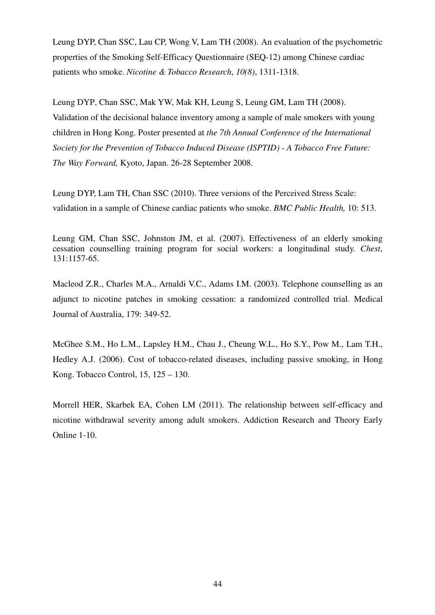Leung DYP, Chan SSC, Lau CP, Wong V, Lam TH (2008). An evaluation of the psychometric properties of the Smoking Self-Efficacy Questionnaire (SEQ-12) among Chinese cardiac patients who smoke. *Nicotine & Tobacco Research*, *10(8)*, 1311-1318.

Leung DYP, Chan SSC, Mak YW, Mak KH, Leung S, Leung GM, Lam TH (2008). Validation of the decisional balance inventory among a sample of male smokers with young children in Hong Kong. Poster presented at *the 7th Annual Conference of the International Society for the Prevention of Tobacco Induced Disease (ISPTID) - A Tobacco Free Future: The Way Forward,* Kyoto, Japan. 26-28 September 2008.

Leung DYP, Lam TH, Chan SSC (2010). Three versions of the Perceived Stress Scale: validation in a sample of Chinese cardiac patients who smoke. *BMC Public Health,* 10: 513.

Leung GM, Chan SSC, Johnston JM, et al. (2007). Effectiveness of an elderly smoking cessation counselling training program for social workers: a longitudinal study. *Chest*, 131:1157-65.

Macleod Z.R., Charles M.A., Arnaldi V.C., Adams I.M. (2003). Telephone counselling as an adjunct to nicotine patches in smoking cessation: a randomized controlled trial. Medical Journal of Australia, 179: 349-52.

McGhee S.M., Ho L.M., Lapsley H.M., Chau J., Cheung W.L., Ho S.Y., Pow M., Lam T.H., Hedley A.J. (2006). Cost of tobacco-related diseases, including passive smoking, in Hong Kong. Tobacco Control, 15, 125 – 130.

Morrell HER, Skarbek EA, Cohen LM (2011). The relationship between self-efficacy and nicotine withdrawal severity among adult smokers. Addiction Research and Theory Early Online 1-10.